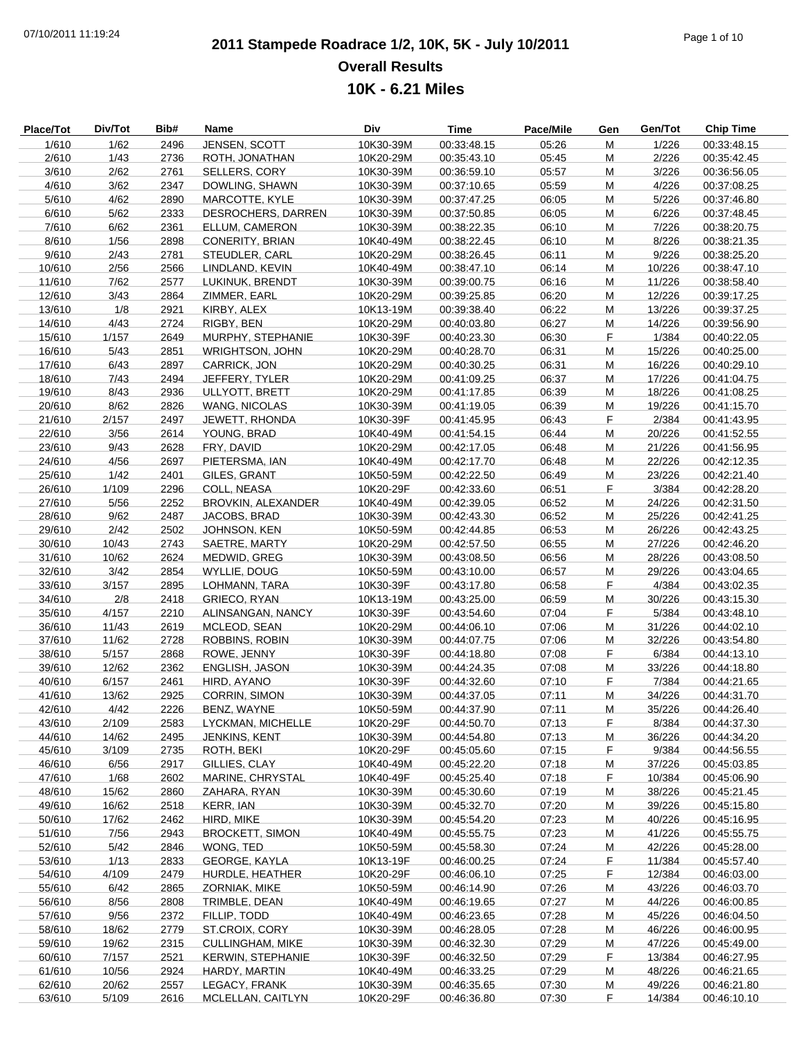# **2011 Stampede Roadrace 1/2, 10K, 5K - July 10/2011** 07/10/2011 11:19:24 Page 1 of 10 **Overall Results 10K - 6.21 Miles**

| <b>Place/Tot</b> | Div/Tot | Bib# | Name                      | Div       | Time        | Pace/Mile | Gen | Gen/Tot | <b>Chip Time</b> |
|------------------|---------|------|---------------------------|-----------|-------------|-----------|-----|---------|------------------|
| 1/610            | 1/62    | 2496 | JENSEN, SCOTT             | 10K30-39M | 00:33:48.15 | 05:26     | M   | 1/226   | 00:33:48.15      |
| 2/610            | 1/43    | 2736 | ROTH, JONATHAN            | 10K20-29M | 00:35:43.10 | 05:45     | M   | 2/226   | 00:35:42.45      |
| 3/610            | 2/62    | 2761 | SELLERS, CORY             | 10K30-39M | 00:36:59.10 | 05:57     | M   | 3/226   | 00:36:56.05      |
| 4/610            | 3/62    | 2347 | DOWLING, SHAWN            | 10K30-39M | 00:37:10.65 | 05:59     | M   | 4/226   | 00:37:08.25      |
| 5/610            | 4/62    | 2890 | MARCOTTE, KYLE            | 10K30-39M | 00:37:47.25 | 06:05     | M   | 5/226   | 00:37:46.80      |
| 6/610            | 5/62    | 2333 | DESROCHERS, DARREN        | 10K30-39M | 00:37:50.85 | 06:05     | M   | 6/226   | 00:37:48.45      |
| 7/610            | 6/62    | 2361 | ELLUM, CAMERON            | 10K30-39M | 00:38:22.35 | 06:10     | M   | 7/226   | 00:38:20.75      |
| 8/610            | 1/56    | 2898 | CONERITY, BRIAN           | 10K40-49M | 00:38:22.45 | 06:10     | M   | 8/226   | 00:38:21.35      |
| 9/610            | 2/43    | 2781 | STEUDLER, CARL            | 10K20-29M | 00:38:26.45 | 06:11     | M   | 9/226   | 00:38:25.20      |
| 10/610           | 2/56    | 2566 | LINDLAND, KEVIN           | 10K40-49M | 00:38:47.10 | 06:14     | M   | 10/226  | 00:38:47.10      |
| 11/610           | 7/62    | 2577 | LUKINUK, BRENDT           | 10K30-39M | 00:39:00.75 | 06:16     | М   | 11/226  | 00:38:58.40      |
| 12/610           | 3/43    | 2864 | ZIMMER, EARL              | 10K20-29M | 00:39:25.85 | 06:20     | M   | 12/226  | 00:39:17.25      |
| 13/610           | 1/8     | 2921 | KIRBY, ALEX               | 10K13-19M | 00:39:38.40 | 06:22     | M   | 13/226  | 00:39:37.25      |
| 14/610           | 4/43    | 2724 | RIGBY, BEN                | 10K20-29M | 00:40:03.80 | 06:27     | M   | 14/226  | 00:39:56.90      |
| 15/610           | 1/157   | 2649 | MURPHY, STEPHANIE         | 10K30-39F | 00:40:23.30 | 06:30     | F   | 1/384   | 00:40:22.05      |
| 16/610           | 5/43    | 2851 | <b>WRIGHTSON, JOHN</b>    | 10K20-29M |             | 06:31     |     | 15/226  |                  |
|                  |         |      |                           |           | 00:40:28.70 |           | M   | 16/226  | 00:40:25.00      |
| 17/610           | 6/43    | 2897 | <b>CARRICK, JON</b>       | 10K20-29M | 00:40:30.25 | 06:31     | M   |         | 00:40:29.10      |
| 18/610           | 7/43    | 2494 | JEFFERY, TYLER            | 10K20-29M | 00:41:09.25 | 06:37     | M   | 17/226  | 00:41:04.75      |
| 19/610           | 8/43    | 2936 | ULLYOTT, BRETT            | 10K20-29M | 00:41:17.85 | 06:39     | M   | 18/226  | 00:41:08.25      |
| 20/610           | 8/62    | 2826 | <b>WANG, NICOLAS</b>      | 10K30-39M | 00:41:19.05 | 06:39     | M   | 19/226  | 00:41:15.70      |
| 21/610           | 2/157   | 2497 | JEWETT, RHONDA            | 10K30-39F | 00:41:45.95 | 06:43     | F   | 2/384   | 00:41:43.95      |
| 22/610           | 3/56    | 2614 | YOUNG, BRAD               | 10K40-49M | 00:41:54.15 | 06:44     | M   | 20/226  | 00:41:52.55      |
| 23/610           | 9/43    | 2628 | FRY, DAVID                | 10K20-29M | 00:42:17.05 | 06:48     | М   | 21/226  | 00:41:56.95      |
| 24/610           | 4/56    | 2697 | PIETERSMA, IAN            | 10K40-49M | 00:42:17.70 | 06:48     | M   | 22/226  | 00:42:12.35      |
| 25/610           | 1/42    | 2401 | GILES, GRANT              | 10K50-59M | 00:42:22.50 | 06:49     | M   | 23/226  | 00:42:21.40      |
| 26/610           | 1/109   | 2296 | COLL, NEASA               | 10K20-29F | 00:42:33.60 | 06:51     | F   | 3/384   | 00:42:28.20      |
| 27/610           | 5/56    | 2252 | <b>BROVKIN, ALEXANDER</b> | 10K40-49M | 00:42:39.05 | 06:52     | М   | 24/226  | 00:42:31.50      |
| 28/610           | 9/62    | 2487 | JACOBS, BRAD              | 10K30-39M | 00:42:43.30 | 06:52     | M   | 25/226  | 00:42:41.25      |
| 29/610           | 2/42    | 2502 | JOHNSON, KEN              | 10K50-59M | 00:42:44.85 | 06:53     | M   | 26/226  | 00:42:43.25      |
| 30/610           | 10/43   | 2743 | SAETRE, MARTY             | 10K20-29M | 00:42:57.50 | 06:55     | М   | 27/226  | 00:42:46.20      |
| 31/610           | 10/62   | 2624 | MEDWID, GREG              | 10K30-39M | 00:43:08.50 | 06:56     | М   | 28/226  | 00:43:08.50      |
| 32/610           | 3/42    | 2854 | WYLLIE, DOUG              | 10K50-59M | 00:43:10.00 | 06:57     | M   | 29/226  | 00:43:04.65      |
| 33/610           | 3/157   | 2895 | LOHMANN, TARA             | 10K30-39F | 00:43:17.80 | 06:58     | F   | 4/384   | 00:43:02.35      |
| 34/610           | 2/8     | 2418 | GRIECO, RYAN              | 10K13-19M | 00:43:25.00 | 06:59     | M   | 30/226  | 00:43:15.30      |
| 35/610           | 4/157   | 2210 | ALINSANGAN, NANCY         | 10K30-39F | 00:43:54.60 | 07:04     | F   | 5/384   | 00:43:48.10      |
| 36/610           | 11/43   | 2619 | MCLEOD, SEAN              | 10K20-29M | 00:44:06.10 | 07:06     | M   | 31/226  | 00:44:02.10      |
| 37/610           | 11/62   | 2728 | <b>ROBBINS, ROBIN</b>     | 10K30-39M | 00:44:07.75 | 07:06     | M   | 32/226  | 00:43:54.80      |
| 38/610           | 5/157   | 2868 | ROWE, JENNY               | 10K30-39F | 00:44:18.80 | 07:08     | F   | 6/384   | 00:44:13.10      |
| 39/610           | 12/62   | 2362 | ENGLISH, JASON            | 10K30-39M | 00:44:24.35 | 07:08     | M   | 33/226  | 00:44:18.80      |
| 40/610           | 6/157   | 2461 | HIRD, AYANO               | 10K30-39F | 00:44:32.60 | 07:10     | F   | 7/384   | 00:44:21.65      |
| 41/610           | 13/62   | 2925 | <b>CORRIN, SIMON</b>      | 10K30-39M | 00:44:37.05 | 07:11     | M   | 34/226  | 00:44:31.70      |
| 42/610           | 4/42    | 2226 | BENZ, WAYNE               | 10K50-59M | 00:44:37.90 | 07:11     | M   | 35/226  | 00:44:26.40      |
| 43/610           | 2/109   | 2583 | LYCKMAN, MICHELLE         | 10K20-29F | 00:44:50.70 | 07:13     | F   | 8/384   | 00:44:37.30      |
| 44/610           | 14/62   | 2495 | JENKINS, KENT             | 10K30-39M | 00:44:54.80 | 07:13     | М   | 36/226  | 00:44:34.20      |
| 45/610           | 3/109   | 2735 | ROTH, BEKI                | 10K20-29F | 00:45:05.60 | 07:15     | F   | 9/384   | 00:44:56.55      |
| 46/610           | 6/56    | 2917 | GILLIES, CLAY             | 10K40-49M | 00:45:22.20 | 07:18     | M   | 37/226  | 00:45:03.85      |
| 47/610           | 1/68    | 2602 | MARINE, CHRYSTAL          | 10K40-49F | 00:45:25.40 | 07:18     | F.  | 10/384  | 00:45:06.90      |
| 48/610           | 15/62   | 2860 | ZAHARA, RYAN              | 10K30-39M | 00:45:30.60 | 07:19     | M   | 38/226  | 00:45:21.45      |
| 49/610           | 16/62   | 2518 | <b>KERR, IAN</b>          | 10K30-39M | 00:45:32.70 | 07:20     | M   | 39/226  | 00:45:15.80      |
| 50/610           | 17/62   | 2462 | HIRD, MIKE                | 10K30-39M | 00:45:54.20 | 07:23     | M   | 40/226  | 00:45:16.95      |
| 51/610           | 7/56    | 2943 | <b>BROCKETT, SIMON</b>    | 10K40-49M | 00:45:55.75 | 07:23     | M   | 41/226  | 00:45:55.75      |
| 52/610           | 5/42    | 2846 | WONG, TED                 | 10K50-59M | 00:45:58.30 | 07:24     | M   | 42/226  | 00:45:28.00      |
| 53/610           | 1/13    | 2833 | GEORGE, KAYLA             | 10K13-19F | 00:46:00.25 | 07:24     | F   | 11/384  | 00:45:57.40      |
| 54/610           | 4/109   | 2479 | HURDLE, HEATHER           | 10K20-29F | 00:46:06.10 | 07:25     | F   | 12/384  | 00:46:03.00      |
| 55/610           | 6/42    | 2865 | ZORNIAK, MIKE             | 10K50-59M | 00:46:14.90 | 07:26     | M   | 43/226  | 00:46:03.70      |
| 56/610           | 8/56    | 2808 | TRIMBLE, DEAN             | 10K40-49M | 00:46:19.65 | 07:27     | M   | 44/226  | 00:46:00.85      |
| 57/610           | 9/56    | 2372 | FILLIP, TODD              | 10K40-49M | 00:46:23.65 | 07:28     | M   | 45/226  | 00:46:04.50      |
| 58/610           | 18/62   | 2779 | ST.CROIX, CORY            | 10K30-39M | 00:46:28.05 | 07:28     | M   | 46/226  | 00:46:00.95      |
| 59/610           | 19/62   | 2315 | <b>CULLINGHAM, MIKE</b>   | 10K30-39M | 00:46:32.30 | 07:29     | M   | 47/226  | 00:45:49.00      |
| 60/610           | 7/157   | 2521 | <b>KERWIN, STEPHANIE</b>  | 10K30-39F | 00:46:32.50 | 07:29     | F   | 13/384  | 00:46:27.95      |
| 61/610           | 10/56   | 2924 | HARDY, MARTIN             | 10K40-49M | 00:46:33.25 | 07:29     | M   | 48/226  | 00:46:21.65      |
| 62/610           | 20/62   | 2557 | LEGACY, FRANK             | 10K30-39M | 00:46:35.65 | 07:30     | M   | 49/226  | 00:46:21.80      |
| 63/610           | 5/109   | 2616 | MCLELLAN, CAITLYN         | 10K20-29F | 00:46:36.80 | 07:30     | F.  | 14/384  | 00:46:10.10      |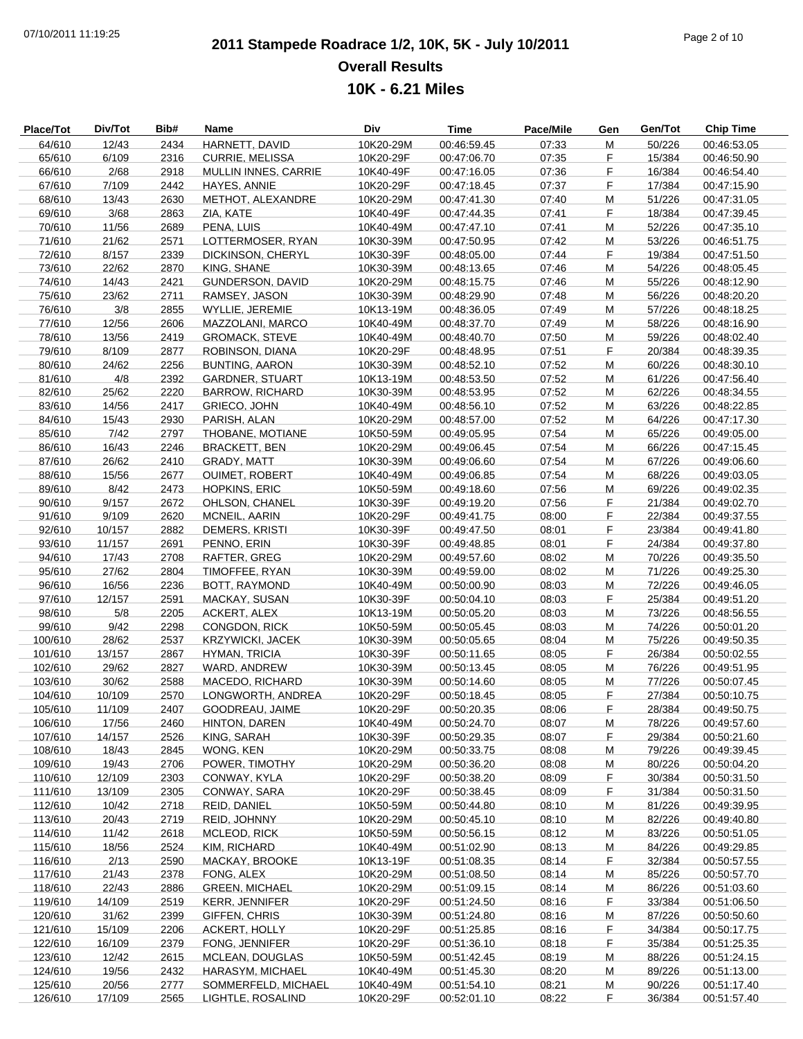# **2011 Stampede Roadrace 1/2, 10K, 5K - July 10/2011** 07/10/2011 11:19:25 Page 2 of 10 **Overall Results 10K - 6.21 Miles**

| Place/Tot | Div/Tot | Bib# | Name                    | Div       | <b>Time</b> | Pace/Mile | Gen | Gen/Tot | <b>Chip Time</b> |
|-----------|---------|------|-------------------------|-----------|-------------|-----------|-----|---------|------------------|
| 64/610    | 12/43   | 2434 | HARNETT, DAVID          | 10K20-29M | 00:46:59.45 | 07:33     | M   | 50/226  | 00:46:53.05      |
| 65/610    | 6/109   | 2316 | <b>CURRIE, MELISSA</b>  | 10K20-29F | 00:47:06.70 | 07:35     | F   | 15/384  | 00:46:50.90      |
| 66/610    | 2/68    | 2918 | MULLIN INNES, CARRIE    | 10K40-49F | 00:47:16.05 | 07:36     | F   | 16/384  | 00:46:54.40      |
|           |         |      |                         |           | 00:47:18.45 |           | F   |         |                  |
| 67/610    | 7/109   | 2442 | HAYES, ANNIE            | 10K20-29F |             | 07:37     |     | 17/384  | 00:47:15.90      |
| 68/610    | 13/43   | 2630 | METHOT, ALEXANDRE       | 10K20-29M | 00:47:41.30 | 07:40     | M   | 51/226  | 00:47:31.05      |
| 69/610    | 3/68    | 2863 | ZIA, KATE               | 10K40-49F | 00:47:44.35 | 07:41     | F   | 18/384  | 00:47:39.45      |
| 70/610    | 11/56   | 2689 | PENA, LUIS              | 10K40-49M | 00:47:47.10 | 07:41     | M   | 52/226  | 00:47:35.10      |
| 71/610    | 21/62   | 2571 | LOTTERMOSER, RYAN       | 10K30-39M | 00:47:50.95 | 07:42     | M   | 53/226  | 00:46:51.75      |
| 72/610    | 8/157   | 2339 | DICKINSON, CHERYL       | 10K30-39F | 00:48:05.00 | 07:44     | F   | 19/384  | 00:47:51.50      |
| 73/610    | 22/62   | 2870 | KING, SHANE             | 10K30-39M | 00:48:13.65 | 07:46     | М   | 54/226  | 00:48:05.45      |
| 74/610    | 14/43   | 2421 | <b>GUNDERSON, DAVID</b> | 10K20-29M | 00:48:15.75 | 07:46     | M   | 55/226  | 00:48:12.90      |
|           |         |      |                         |           |             |           |     |         |                  |
| 75/610    | 23/62   | 2711 | RAMSEY, JASON           | 10K30-39M | 00:48:29.90 | 07:48     | M   | 56/226  | 00:48:20.20      |
| 76/610    | 3/8     | 2855 | WYLLIE, JEREMIE         | 10K13-19M | 00:48:36.05 | 07:49     | M   | 57/226  | 00:48:18.25      |
| 77/610    | 12/56   | 2606 | MAZZOLANI, MARCO        | 10K40-49M | 00:48:37.70 | 07:49     | M   | 58/226  | 00:48:16.90      |
| 78/610    | 13/56   | 2419 | <b>GROMACK, STEVE</b>   | 10K40-49M | 00:48:40.70 | 07:50     | M   | 59/226  | 00:48:02.40      |
| 79/610    | 8/109   | 2877 | ROBINSON, DIANA         | 10K20-29F | 00:48:48.95 | 07:51     | F   | 20/384  | 00:48:39.35      |
| 80/610    | 24/62   | 2256 | <b>BUNTING, AARON</b>   | 10K30-39M | 00:48:52.10 | 07:52     | M   | 60/226  | 00:48:30.10      |
| 81/610    | 4/8     | 2392 |                         | 10K13-19M | 00:48:53.50 | 07:52     | M   | 61/226  | 00:47:56.40      |
|           |         |      | <b>GARDNER, STUART</b>  |           |             |           |     |         |                  |
| 82/610    | 25/62   | 2220 | <b>BARROW, RICHARD</b>  | 10K30-39M | 00:48:53.95 | 07:52     | M   | 62/226  | 00:48:34.55      |
| 83/610    | 14/56   | 2417 | GRIECO, JOHN            | 10K40-49M | 00:48:56.10 | 07:52     | M   | 63/226  | 00:48:22.85      |
| 84/610    | 15/43   | 2930 | PARISH, ALAN            | 10K20-29M | 00:48:57.00 | 07:52     | M   | 64/226  | 00:47:17.30      |
| 85/610    | 7/42    | 2797 | THOBANE, MOTIANE        | 10K50-59M | 00:49:05.95 | 07:54     | M   | 65/226  | 00:49:05.00      |
| 86/610    | 16/43   | 2246 | <b>BRACKETT, BEN</b>    | 10K20-29M | 00:49:06.45 | 07:54     | M   | 66/226  | 00:47:15.45      |
| 87/610    | 26/62   | 2410 | GRADY, MATT             | 10K30-39M | 00:49:06.60 | 07:54     | M   | 67/226  | 00:49:06.60      |
| 88/610    | 15/56   | 2677 | <b>OUIMET, ROBERT</b>   | 10K40-49M | 00:49:06.85 | 07:54     | M   | 68/226  | 00:49:03.05      |
|           |         |      |                         |           |             |           |     |         |                  |
| 89/610    | 8/42    | 2473 | <b>HOPKINS, ERIC</b>    | 10K50-59M | 00:49:18.60 | 07:56     | M   | 69/226  | 00:49:02.35      |
| 90/610    | 9/157   | 2672 | OHLSON, CHANEL          | 10K30-39F | 00:49:19.20 | 07:56     | F   | 21/384  | 00:49:02.70      |
| 91/610    | 9/109   | 2620 | MCNEIL, AARIN           | 10K20-29F | 00:49:41.75 | 08:00     | F   | 22/384  | 00:49:37.55      |
| 92/610    | 10/157  | 2882 | DEMERS, KRISTI          | 10K30-39F | 00:49:47.50 | 08:01     | F   | 23/384  | 00:49:41.80      |
| 93/610    | 11/157  | 2691 | PENNO, ERIN             | 10K30-39F | 00:49:48.85 | 08:01     | F   | 24/384  | 00:49:37.80      |
| 94/610    | 17/43   | 2708 | RAFTER, GREG            | 10K20-29M | 00:49:57.60 | 08:02     | M   | 70/226  | 00:49:35.50      |
| 95/610    | 27/62   | 2804 | TIMOFFEE, RYAN          | 10K30-39M | 00:49:59.00 | 08:02     | M   | 71/226  | 00:49:25.30      |
| 96/610    | 16/56   | 2236 | BOTT, RAYMOND           | 10K40-49M | 00:50:00.90 | 08:03     | M   | 72/226  | 00:49:46.05      |
|           |         |      |                         |           |             |           |     |         |                  |
| 97/610    | 12/157  | 2591 | MACKAY, SUSAN           | 10K30-39F | 00:50:04.10 | 08:03     | F   | 25/384  | 00:49:51.20      |
| 98/610    | 5/8     | 2205 | <b>ACKERT, ALEX</b>     | 10K13-19M | 00:50:05.20 | 08:03     | M   | 73/226  | 00:48:56.55      |
| 99/610    | 9/42    | 2298 | CONGDON, RICK           | 10K50-59M | 00:50:05.45 | 08:03     | M   | 74/226  | 00:50:01.20      |
| 100/610   | 28/62   | 2537 | <b>KRZYWICKI, JACEK</b> | 10K30-39M | 00:50:05.65 | 08:04     | M   | 75/226  | 00:49:50.35      |
| 101/610   | 13/157  | 2867 | <b>HYMAN, TRICIA</b>    | 10K30-39F | 00:50:11.65 | 08:05     | F   | 26/384  | 00:50:02.55      |
| 102/610   | 29/62   | 2827 | WARD, ANDREW            | 10K30-39M | 00:50:13.45 | 08:05     | M   | 76/226  | 00:49:51.95      |
| 103/610   | 30/62   | 2588 | MACEDO, RICHARD         | 10K30-39M | 00:50:14.60 | 08:05     | M   | 77/226  | 00:50:07.45      |
|           |         |      |                         |           |             |           |     |         |                  |
| 104/610   | 10/109  | 2570 | LONGWORTH, ANDREA       | 10K20-29F | 00:50:18.45 | 08:05     | F   | 27/384  | 00:50:10.75      |
| 105/610   | 11/109  | 2407 | GOODREAU, JAIME         | 10K20-29F | 00:50:20.35 | 08:06     | F   | 28/384  | 00:49:50.75      |
| 106/610   | 17/56   | 2460 | HINTON, DAREN           | 10K40-49M | 00:50:24.70 | 08:07     | M   | 78/226  | 00:49:57.60      |
| 107/610   | 14/157  | 2526 | KING, SARAH             | 10K30-39F | 00:50:29.35 | 08:07     | F   | 29/384  | 00:50:21.60      |
| 108/610   | 18/43   | 2845 | WONG, KEN               | 10K20-29M | 00:50:33.75 | 08:08     | M   | 79/226  | 00:49:39.45      |
| 109/610   | 19/43   | 2706 | POWER, TIMOTHY          | 10K20-29M | 00:50:36.20 | 08:08     | M   | 80/226  | 00:50:04.20      |
| 110/610   | 12/109  | 2303 | CONWAY, KYLA            | 10K20-29F | 00:50:38.20 | 08:09     | F   | 30/384  | 00:50:31.50      |
|           |         |      |                         |           |             |           |     |         |                  |
| 111/610   | 13/109  | 2305 | CONWAY, SARA            | 10K20-29F | 00:50:38.45 | 08:09     | F   | 31/384  | 00:50:31.50      |
| 112/610   | 10/42   | 2718 | REID, DANIEL            | 10K50-59M | 00:50:44.80 | 08:10     | M   | 81/226  | 00:49:39.95      |
| 113/610   | 20/43   | 2719 | REID, JOHNNY            | 10K20-29M | 00:50:45.10 | 08:10     | M   | 82/226  | 00:49:40.80      |
| 114/610   | 11/42   | 2618 | MCLEOD, RICK            | 10K50-59M | 00:50:56.15 | 08:12     | M   | 83/226  | 00:50:51.05      |
| 115/610   | 18/56   | 2524 | KIM, RICHARD            | 10K40-49M | 00:51:02.90 | 08:13     | M   | 84/226  | 00:49:29.85      |
| 116/610   | 2/13    | 2590 | MACKAY, BROOKE          | 10K13-19F | 00:51:08.35 | 08:14     | F   | 32/384  | 00:50:57.55      |
| 117/610   | 21/43   | 2378 | FONG, ALEX              | 10K20-29M | 00:51:08.50 | 08:14     | M   | 85/226  | 00:50:57.70      |
|           |         |      |                         |           |             |           |     |         |                  |
| 118/610   | 22/43   | 2886 | <b>GREEN, MICHAEL</b>   | 10K20-29M | 00:51:09.15 | 08:14     | M   | 86/226  | 00:51:03.60      |
| 119/610   | 14/109  | 2519 | <b>KERR, JENNIFER</b>   | 10K20-29F | 00:51:24.50 | 08:16     | F   | 33/384  | 00:51:06.50      |
| 120/610   | 31/62   | 2399 | GIFFEN, CHRIS           | 10K30-39M | 00:51:24.80 | 08:16     | M   | 87/226  | 00:50:50.60      |
| 121/610   | 15/109  | 2206 | <b>ACKERT, HOLLY</b>    | 10K20-29F | 00:51:25.85 | 08:16     | F   | 34/384  | 00:50:17.75      |
| 122/610   | 16/109  | 2379 | FONG, JENNIFER          | 10K20-29F | 00:51:36.10 | 08:18     | F   | 35/384  | 00:51:25.35      |
| 123/610   | 12/42   | 2615 | MCLEAN, DOUGLAS         | 10K50-59M | 00:51:42.45 | 08:19     | M   | 88/226  | 00:51:24.15      |
| 124/610   | 19/56   | 2432 | HARASYM, MICHAEL        | 10K40-49M | 00:51:45.30 | 08:20     | M   | 89/226  | 00:51:13.00      |
| 125/610   | 20/56   |      | SOMMERFELD, MICHAEL     | 10K40-49M | 00:51:54.10 |           |     | 90/226  | 00:51:17.40      |
|           |         | 2777 |                         |           |             | 08:21     | M   |         |                  |
| 126/610   | 17/109  | 2565 | LIGHTLE, ROSALIND       | 10K20-29F | 00:52:01.10 | 08:22     | F   | 36/384  | 00:51:57.40      |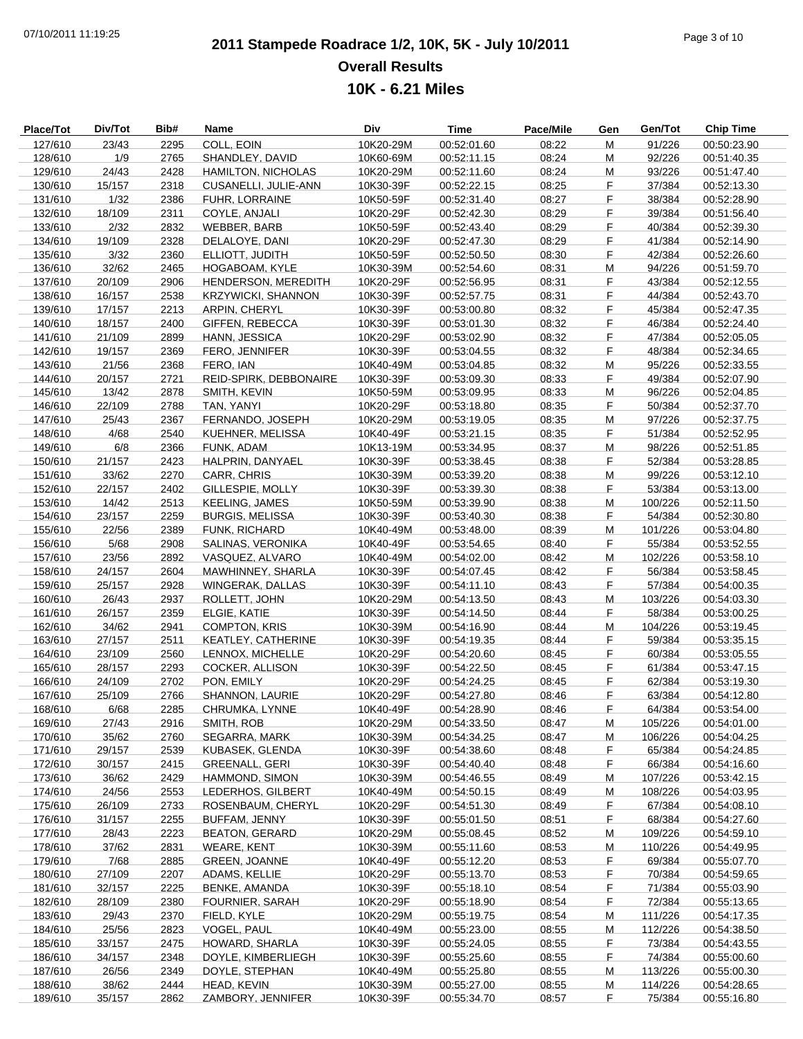# **2011 Stampede Roadrace 1/2, 10K, 5K - July 10/2011** 07/10/2011 11:19:25 Page 3 of 10 **Overall Results 10K - 6.21 Miles**

| Place/Tot | Div/Tot | Bib# | Name                      | Div       | <b>Time</b> | Pace/Mile | Gen | Gen/Tot | <b>Chip Time</b> |
|-----------|---------|------|---------------------------|-----------|-------------|-----------|-----|---------|------------------|
| 127/610   | 23/43   | 2295 | COLL, EOIN                | 10K20-29M | 00:52:01.60 | 08:22     | M   | 91/226  | 00:50:23.90      |
| 128/610   | 1/9     | 2765 | SHANDLEY, DAVID           | 10K60-69M | 00:52:11.15 | 08:24     | M   | 92/226  | 00:51:40.35      |
| 129/610   | 24/43   | 2428 | <b>HAMILTON, NICHOLAS</b> | 10K20-29M | 00:52:11.60 | 08:24     | М   | 93/226  | 00:51:47.40      |
| 130/610   | 15/157  | 2318 | CUSANELLI, JULIE-ANN      | 10K30-39F | 00:52:22.15 | 08:25     | F   | 37/384  | 00:52:13.30      |
| 131/610   | 1/32    | 2386 | <b>FUHR, LORRAINE</b>     | 10K50-59F | 00:52:31.40 | 08:27     | F   | 38/384  | 00:52:28.90      |
| 132/610   | 18/109  | 2311 | COYLE, ANJALI             | 10K20-29F | 00:52:42.30 | 08:29     | F   | 39/384  | 00:51:56.40      |
| 133/610   | 2/32    | 2832 | WEBBER, BARB              | 10K50-59F | 00:52:43.40 | 08:29     | F   | 40/384  | 00:52:39.30      |
| 134/610   | 19/109  | 2328 | DELALOYE, DANI            | 10K20-29F | 00:52:47.30 | 08:29     | F   | 41/384  | 00:52:14.90      |
| 135/610   | 3/32    | 2360 | ELLIOTT, JUDITH           | 10K50-59F | 00:52:50.50 | 08:30     | F   | 42/384  | 00:52:26.60      |
| 136/610   | 32/62   | 2465 | HOGABOAM, KYLE            | 10K30-39M | 00:52:54.60 | 08:31     | M   | 94/226  | 00:51:59.70      |
| 137/610   | 20/109  | 2906 | HENDERSON, MEREDITH       | 10K20-29F | 00:52:56.95 | 08:31     | F   | 43/384  | 00:52:12.55      |
| 138/610   | 16/157  | 2538 | <b>KRZYWICKI, SHANNON</b> | 10K30-39F | 00:52:57.75 | 08:31     | F   | 44/384  | 00:52:43.70      |
| 139/610   | 17/157  | 2213 | <b>ARPIN, CHERYL</b>      | 10K30-39F | 00:53:00.80 | 08:32     | F   | 45/384  | 00:52:47.35      |
| 140/610   | 18/157  | 2400 | GIFFEN, REBECCA           | 10K30-39F | 00:53:01.30 | 08:32     | F   | 46/384  | 00:52:24.40      |
| 141/610   | 21/109  | 2899 | HANN, JESSICA             | 10K20-29F | 00:53:02.90 | 08:32     | F   | 47/384  | 00:52:05.05      |
| 142/610   | 19/157  | 2369 | FERO, JENNIFER            | 10K30-39F | 00:53:04.55 | 08:32     | F   | 48/384  | 00:52:34.65      |
| 143/610   | 21/56   | 2368 | FERO, IAN                 | 10K40-49M | 00:53:04.85 | 08:32     | M   | 95/226  | 00:52:33.55      |
| 144/610   | 20/157  | 2721 | REID-SPIRK, DEBBONAIRE    | 10K30-39F | 00:53:09.30 | 08:33     | F   | 49/384  | 00:52:07.90      |
| 145/610   | 13/42   | 2878 | SMITH, KEVIN              | 10K50-59M | 00:53:09.95 | 08:33     | M   | 96/226  | 00:52:04.85      |
| 146/610   | 22/109  | 2788 | TAN, YANYI                | 10K20-29F | 00:53:18.80 | 08:35     | F   | 50/384  | 00:52:37.70      |
| 147/610   | 25/43   | 2367 | FERNANDO, JOSEPH          | 10K20-29M | 00:53:19.05 | 08:35     | M   | 97/226  | 00:52:37.75      |
| 148/610   | 4/68    | 2540 | KUEHNER, MELISSA          | 10K40-49F | 00:53:21.15 | 08:35     | F   | 51/384  | 00:52:52.95      |
| 149/610   | 6/8     | 2366 | FUNK, ADAM                | 10K13-19M | 00:53:34.95 | 08:37     | M   | 98/226  | 00:52:51.85      |
| 150/610   | 21/157  | 2423 | HALPRIN, DANYAEL          | 10K30-39F | 00:53:38.45 | 08:38     | F   | 52/384  | 00:53:28.85      |
| 151/610   | 33/62   | 2270 | CARR, CHRIS               | 10K30-39M | 00:53:39.20 | 08:38     | M   | 99/226  | 00:53:12.10      |
| 152/610   | 22/157  | 2402 | GILLESPIE, MOLLY          | 10K30-39F | 00:53:39.30 | 08:38     | F   | 53/384  | 00:53:13.00      |
| 153/610   | 14/42   | 2513 | <b>KEELING, JAMES</b>     | 10K50-59M | 00:53:39.90 | 08:38     | M   | 100/226 | 00:52:11.50      |
| 154/610   | 23/157  | 2259 | <b>BURGIS, MELISSA</b>    | 10K30-39F | 00:53:40.30 | 08:38     | F   | 54/384  | 00:52:30.80      |
| 155/610   | 22/56   | 2389 | FUNK, RICHARD             | 10K40-49M | 00:53:48.00 | 08:39     | M   | 101/226 | 00:53:04.80      |
| 156/610   | 5/68    | 2908 | SALINAS, VERONIKA         | 10K40-49F | 00:53:54.65 | 08:40     | F   | 55/384  | 00:53:52.55      |
| 157/610   | 23/56   | 2892 | VASQUEZ, ALVARO           | 10K40-49M | 00:54:02.00 | 08:42     | M   | 102/226 | 00:53:58.10      |
| 158/610   | 24/157  | 2604 | MAWHINNEY, SHARLA         | 10K30-39F | 00:54:07.45 | 08:42     | F   | 56/384  | 00:53:58.45      |
| 159/610   | 25/157  | 2928 | WINGERAK, DALLAS          | 10K30-39F | 00:54:11.10 | 08:43     | F   | 57/384  | 00:54:00.35      |
| 160/610   | 26/43   | 2937 | ROLLETT, JOHN             | 10K20-29M | 00:54:13.50 | 08:43     | M   | 103/226 | 00:54:03.30      |
| 161/610   | 26/157  | 2359 | ELGIE, KATIE              | 10K30-39F | 00:54:14.50 | 08:44     | F   | 58/384  | 00:53:00.25      |
| 162/610   | 34/62   | 2941 | <b>COMPTON, KRIS</b>      | 10K30-39M | 00:54:16.90 | 08:44     | M   | 104/226 | 00:53:19.45      |
| 163/610   | 27/157  | 2511 | KEATLEY, CATHERINE        | 10K30-39F | 00:54:19.35 | 08:44     | F   | 59/384  | 00:53:35.15      |
| 164/610   | 23/109  | 2560 | LENNOX, MICHELLE          | 10K20-29F | 00:54:20.60 | 08:45     | F   | 60/384  | 00:53:05.55      |
| 165/610   | 28/157  | 2293 | COCKER, ALLISON           | 10K30-39F | 00:54:22.50 | 08:45     | F   | 61/384  | 00:53:47.15      |
| 166/610   | 24/109  | 2702 | PON, EMILY                | 10K20-29F | 00:54:24.25 | 08:45     | F   | 62/384  | 00:53:19.30      |
| 167/610   | 25/109  | 2766 | SHANNON, LAURIE           | 10K20-29F | 00:54:27.80 | 08:46     | F   | 63/384  | 00:54:12.80      |
| 168/610   | 6/68    | 2285 | CHRUMKA, LYNNE            | 10K40-49F | 00:54:28.90 | 08:46     | F   | 64/384  | 00:53:54.00      |
| 169/610   | 27/43   | 2916 | SMITH, ROB                | 10K20-29M | 00:54:33.50 | 08:47     | M   | 105/226 | 00:54:01.00      |
| 170/610   | 35/62   | 2760 | <b>SEGARRA, MARK</b>      | 10K30-39M | 00:54:34.25 | 08:47     | M   | 106/226 | 00:54:04.25      |
| 171/610   | 29/157  | 2539 | KUBASEK, GLENDA           | 10K30-39F | 00:54:38.60 | 08:48     | F.  | 65/384  | 00:54:24.85      |
| 172/610   | 30/157  | 2415 | <b>GREENALL, GERI</b>     | 10K30-39F | 00:54:40.40 | 08:48     | F   | 66/384  | 00:54:16.60      |
| 173/610   | 36/62   | 2429 | HAMMOND, SIMON            | 10K30-39M | 00:54:46.55 | 08:49     | M   | 107/226 | 00:53:42.15      |
| 174/610   | 24/56   | 2553 | LEDERHOS, GILBERT         | 10K40-49M | 00:54:50.15 | 08:49     | М   | 108/226 | 00:54:03.95      |
| 175/610   | 26/109  | 2733 | ROSENBAUM, CHERYL         | 10K20-29F | 00:54:51.30 | 08:49     | F.  | 67/384  | 00:54:08.10      |
| 176/610   | 31/157  | 2255 | BUFFAM, JENNY             | 10K30-39F | 00:55:01.50 | 08:51     | F   | 68/384  | 00:54:27.60      |
| 177/610   | 28/43   | 2223 | <b>BEATON, GERARD</b>     | 10K20-29M | 00:55:08.45 | 08:52     | M   | 109/226 | 00:54:59.10      |
| 178/610   | 37/62   | 2831 | <b>WEARE, KENT</b>        | 10K30-39M | 00:55:11.60 | 08:53     | M   | 110/226 | 00:54:49.95      |
| 179/610   | 7/68    | 2885 | <b>GREEN, JOANNE</b>      | 10K40-49F | 00:55:12.20 | 08:53     | F.  | 69/384  | 00:55:07.70      |
| 180/610   | 27/109  | 2207 | ADAMS, KELLIE             | 10K20-29F | 00:55:13.70 | 08:53     | F   | 70/384  | 00:54:59.65      |
| 181/610   | 32/157  | 2225 | <b>BENKE, AMANDA</b>      | 10K30-39F | 00:55:18.10 | 08:54     | F   | 71/384  | 00:55:03.90      |
| 182/610   | 28/109  | 2380 | FOURNIER, SARAH           | 10K20-29F | 00:55:18.90 | 08:54     | F   | 72/384  | 00:55:13.65      |
| 183/610   | 29/43   | 2370 | FIELD, KYLE               | 10K20-29M | 00:55:19.75 | 08:54     | M   | 111/226 | 00:54:17.35      |
| 184/610   | 25/56   | 2823 | VOGEL, PAUL               | 10K40-49M | 00:55:23.00 | 08:55     | М   | 112/226 | 00:54:38.50      |
| 185/610   | 33/157  | 2475 | HOWARD, SHARLA            | 10K30-39F | 00:55:24.05 | 08:55     | F   | 73/384  | 00:54:43.55      |
| 186/610   | 34/157  | 2348 | DOYLE, KIMBERLIEGH        | 10K30-39F | 00:55:25.60 | 08:55     | F   | 74/384  | 00:55:00.60      |
| 187/610   | 26/56   | 2349 | DOYLE, STEPHAN            | 10K40-49M | 00:55:25.80 | 08:55     | M   | 113/226 | 00:55:00.30      |
| 188/610   | 38/62   | 2444 | HEAD, KEVIN               | 10K30-39M | 00:55:27.00 | 08:55     | M   | 114/226 | 00:54:28.65      |
| 189/610   | 35/157  | 2862 | ZAMBORY, JENNIFER         | 10K30-39F | 00:55:34.70 | 08:57     | F.  | 75/384  | 00:55:16.80      |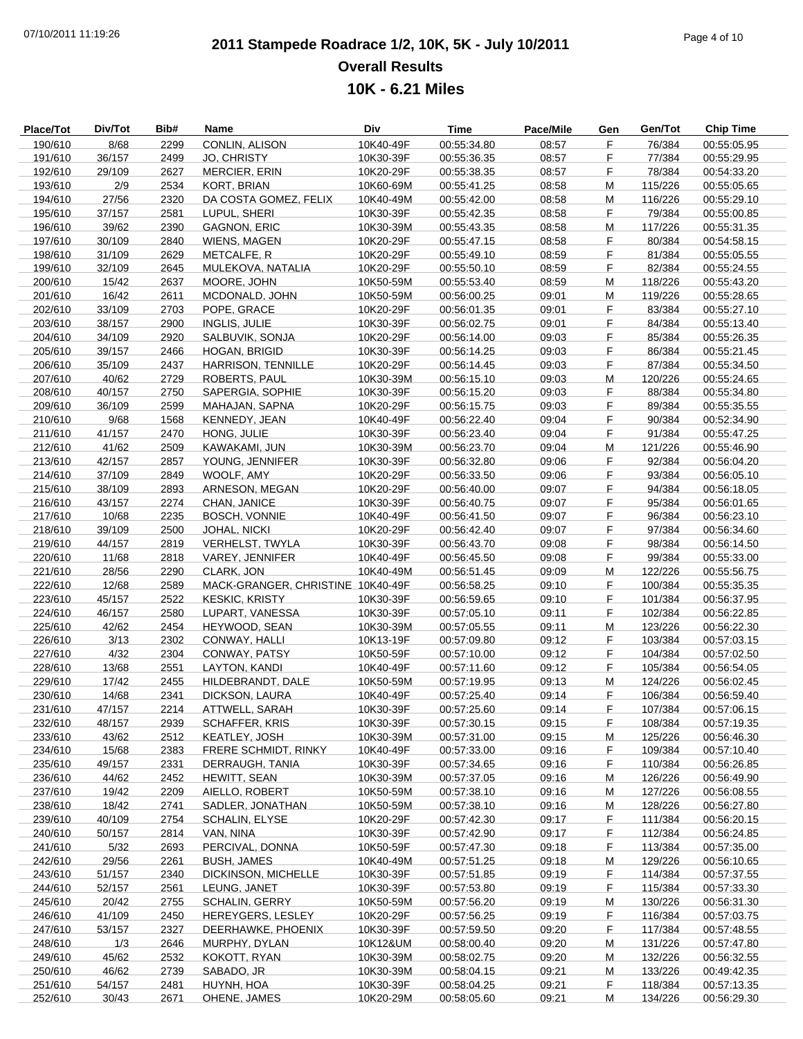# **2011 Stampede Roadrace 1/2, 10K, 5K - July 10/2011** 07/10/2011 11:19:26 Page 4 of 10 **Overall Results 10K - 6.21 Miles**

| <b>Place/Tot</b> | Div/Tot | Bib# | Name                              | Div       | Time        | Pace/Mile | Gen | Gen/Tot | <b>Chip Time</b> |
|------------------|---------|------|-----------------------------------|-----------|-------------|-----------|-----|---------|------------------|
| 190/610          | 8/68    | 2299 | CONLIN, ALISON                    | 10K40-49F | 00:55:34.80 | 08:57     | F   | 76/384  | 00:55:05.95      |
| 191/610          | 36/157  | 2499 | JO, CHRISTY                       | 10K30-39F | 00:55:36.35 | 08:57     | F   | 77/384  | 00:55:29.95      |
| 192/610          | 29/109  | 2627 | <b>MERCIER, ERIN</b>              | 10K20-29F | 00:55:38.35 | 08:57     | F   | 78/384  | 00:54:33.20      |
| 193/610          | 2/9     | 2534 | KORT, BRIAN                       | 10K60-69M | 00:55:41.25 | 08:58     | M   | 115/226 | 00:55:05.65      |
| 194/610          | 27/56   | 2320 | DA COSTA GOMEZ, FELIX             | 10K40-49M | 00:55:42.00 | 08:58     | M   | 116/226 | 00:55:29.10      |
| 195/610          | 37/157  | 2581 | LUPUL, SHERI                      | 10K30-39F | 00:55:42.35 | 08:58     | F   | 79/384  | 00:55:00.85      |
| 196/610          | 39/62   | 2390 | <b>GAGNON, ERIC</b>               | 10K30-39M | 00:55:43.35 | 08:58     | M   | 117/226 | 00:55:31.35      |
| 197/610          | 30/109  | 2840 | WIENS, MAGEN                      | 10K20-29F | 00:55:47.15 | 08:58     | F   | 80/384  | 00:54:58.15      |
| 198/610          | 31/109  | 2629 | METCALFE, R                       | 10K20-29F | 00:55:49.10 | 08:59     | F   | 81/384  | 00:55:05.55      |
| 199/610          | 32/109  | 2645 | MULEKOVA, NATALIA                 | 10K20-29F | 00:55:50.10 | 08:59     | F   | 82/384  | 00:55:24.55      |
| 200/610          | 15/42   | 2637 | MOORE, JOHN                       | 10K50-59M | 00:55:53.40 | 08:59     | M   | 118/226 | 00:55:43.20      |
| 201/610          | 16/42   | 2611 | MCDONALD, JOHN                    | 10K50-59M | 00:56:00.25 | 09:01     | M   | 119/226 | 00:55:28.65      |
| 202/610          | 33/109  | 2703 | POPE, GRACE                       | 10K20-29F | 00:56:01.35 | 09:01     | F   | 83/384  | 00:55:27.10      |
| 203/610          | 38/157  | 2900 | <b>INGLIS, JULIE</b>              | 10K30-39F | 00:56:02.75 | 09:01     | F   | 84/384  | 00:55:13.40      |
| 204/610          | 34/109  | 2920 | SALBUVIK, SONJA                   | 10K20-29F | 00:56:14.00 | 09:03     | F   | 85/384  | 00:55:26.35      |
| 205/610          | 39/157  | 2466 | HOGAN, BRIGID                     | 10K30-39F | 00:56:14.25 | 09:03     | F   | 86/384  | 00:55:21.45      |
| 206/610          | 35/109  | 2437 | HARRISON, TENNILLE                | 10K20-29F | 00:56:14.45 | 09:03     | F   | 87/384  | 00:55:34.50      |
| 207/610          | 40/62   | 2729 | ROBERTS, PAUL                     | 10K30-39M | 00:56:15.10 | 09:03     | M   | 120/226 | 00:55:24.65      |
| 208/610          | 40/157  | 2750 | SAPERGIA, SOPHIE                  | 10K30-39F | 00:56:15.20 | 09:03     | F   | 88/384  | 00:55:34.80      |
| 209/610          | 36/109  | 2599 | MAHAJAN, SAPNA                    | 10K20-29F | 00:56:15.75 | 09:03     | F   | 89/384  | 00:55:35.55      |
| 210/610          | 9/68    | 1568 | KENNEDY, JEAN                     | 10K40-49F | 00:56:22.40 | 09:04     | F   | 90/384  | 00:52:34.90      |
| 211/610          | 41/157  | 2470 | HONG, JULIE                       | 10K30-39F | 00:56:23.40 | 09:04     | F   | 91/384  | 00:55:47.25      |
|                  |         |      | KAWAKAMI. JUN                     |           |             | 09:04     | M   |         |                  |
| 212/610          | 41/62   | 2509 |                                   | 10K30-39M | 00:56:23.70 |           |     | 121/226 | 00:55:46.90      |
| 213/610          | 42/157  | 2857 | YOUNG, JENNIFER                   | 10K30-39F | 00:56:32.80 | 09:06     | F   | 92/384  | 00:56:04.20      |
| 214/610          | 37/109  | 2849 | WOOLF, AMY                        | 10K20-29F | 00:56:33.50 | 09:06     | F   | 93/384  | 00:56:05.10      |
| 215/610          | 38/109  | 2893 | ARNESON, MEGAN                    | 10K20-29F | 00:56:40.00 | 09:07     | F   | 94/384  | 00:56:18.05      |
| 216/610          | 43/157  | 2274 | CHAN, JANICE                      | 10K30-39F | 00:56:40.75 | 09:07     | F   | 95/384  | 00:56:01.65      |
| 217/610          | 10/68   | 2235 | <b>BOSCH, VONNIE</b>              | 10K40-49F | 00:56:41.50 | 09:07     | F   | 96/384  | 00:56:23.10      |
| 218/610          | 39/109  | 2500 | JOHAL, NICKI                      | 10K20-29F | 00:56:42.40 | 09:07     | F   | 97/384  | 00:56:34.60      |
| 219/610          | 44/157  | 2819 | VERHELST, TWYLA                   | 10K30-39F | 00:56:43.70 | 09:08     | F   | 98/384  | 00:56:14.50      |
| 220/610          | 11/68   | 2818 | VAREY, JENNIFER                   | 10K40-49F | 00:56:45.50 | 09:08     | F   | 99/384  | 00:55:33.00      |
| 221/610          | 28/56   | 2290 | CLARK, JON                        | 10K40-49M | 00:56:51.45 | 09:09     | M   | 122/226 | 00:55:56.75      |
| 222/610          | 12/68   | 2589 | MACK-GRANGER, CHRISTINE 10K40-49F |           | 00:56:58.25 | 09:10     | F   | 100/384 | 00:55:35.35      |
| 223/610          | 45/157  | 2522 | <b>KESKIC, KRISTY</b>             | 10K30-39F | 00:56:59.65 | 09:10     | F   | 101/384 | 00:56:37.95      |
| 224/610          | 46/157  | 2580 | LUPART, VANESSA                   | 10K30-39F | 00:57:05.10 | 09:11     | F.  | 102/384 | 00:56:22.85      |
| 225/610          | 42/62   | 2454 | HEYWOOD, SEAN                     | 10K30-39M | 00:57:05.55 | 09:11     | M   | 123/226 | 00:56:22.30      |
| 226/610          | 3/13    | 2302 | CONWAY, HALLI                     | 10K13-19F | 00:57:09.80 | 09:12     | F   | 103/384 | 00:57:03.15      |
| 227/610          | 4/32    | 2304 | CONWAY, PATSY                     | 10K50-59F | 00:57:10.00 | 09:12     | F   | 104/384 | 00:57:02.50      |
| 228/610          | 13/68   | 2551 | LAYTON, KANDI                     | 10K40-49F | 00:57:11.60 | 09:12     | F.  | 105/384 | 00:56:54.05      |
| 229/610          | 17/42   | 2455 | HILDEBRANDT, DALE                 | 10K50-59M | 00:57:19.95 | 09:13     | M   | 124/226 | 00:56:02.45      |
| 230/610          | 14/68   | 2341 | DICKSON, LAURA                    | 10K40-49F | 00:57:25.40 | 09:14     | F   | 106/384 | 00:56:59.40      |
| 231/610          | 47/157  | 2214 | ATTWELL, SARAH                    | 10K30-39F | 00:57:25.60 | 09:14     | F   | 107/384 | 00:57:06.15      |
| 232/610          | 48/157  | 2939 | <b>SCHAFFER, KRIS</b>             | 10K30-39F | 00:57:30.15 | 09:15     | F.  | 108/384 | 00:57:19.35      |
| 233/610          | 43/62   | 2512 | KEATLEY, JOSH                     | 10K30-39M | 00:57:31.00 | 09:15     | M   | 125/226 | 00:56:46.30      |
| 234/610          | 15/68   | 2383 | FRERE SCHMIDT, RINKY              | 10K40-49F | 00:57:33.00 | 09:16     | F   | 109/384 | 00:57:10.40      |
| 235/610          | 49/157  | 2331 | DERRAUGH, TANIA                   | 10K30-39F | 00:57:34.65 | 09:16     | F   | 110/384 | 00:56:26.85      |
| 236/610          | 44/62   | 2452 | HEWITT, SEAN                      | 10K30-39M | 00:57:37.05 | 09:16     | M   | 126/226 | 00:56:49.90      |
| 237/610          | 19/42   | 2209 | AIELLO, ROBERT                    | 10K50-59M | 00:57:38.10 | 09:16     | M   | 127/226 | 00:56:08.55      |
| 238/610          | 18/42   | 2741 | SADLER, JONATHAN                  | 10K50-59M | 00:57:38.10 | 09:16     | M   | 128/226 | 00:56:27.80      |
| 239/610          | 40/109  | 2754 | <b>SCHALIN, ELYSE</b>             | 10K20-29F | 00:57:42.30 | 09:17     | F   | 111/384 | 00:56:20.15      |
| 240/610          | 50/157  | 2814 | VAN, NINA                         | 10K30-39F | 00:57:42.90 | 09:17     | F.  | 112/384 | 00:56:24.85      |
| 241/610          | 5/32    | 2693 | PERCIVAL, DONNA                   | 10K50-59F | 00:57:47.30 | 09:18     | F   | 113/384 | 00:57:35.00      |
| 242/610          | 29/56   | 2261 | <b>BUSH, JAMES</b>                | 10K40-49M | 00:57:51.25 | 09:18     | M   | 129/226 | 00:56:10.65      |
| 243/610          | 51/157  | 2340 | DICKINSON, MICHELLE               | 10K30-39F | 00:57:51.85 | 09:19     | F.  | 114/384 | 00:57:37.55      |
| 244/610          | 52/157  | 2561 | LEUNG, JANET                      | 10K30-39F | 00:57:53.80 | 09:19     | F   | 115/384 | 00:57:33.30      |
| 245/610          | 20/42   | 2755 | <b>SCHALIN, GERRY</b>             | 10K50-59M | 00:57:56.20 | 09:19     | M   | 130/226 | 00:56:31.30      |
| 246/610          | 41/109  | 2450 | HEREYGERS, LESLEY                 | 10K20-29F | 00:57:56.25 | 09:19     | F   | 116/384 | 00:57:03.75      |
| 247/610          | 53/157  | 2327 | DEERHAWKE, PHOENIX                | 10K30-39F | 00:57:59.50 | 09:20     | F   | 117/384 | 00:57:48.55      |
| 248/610          | 1/3     | 2646 | MURPHY, DYLAN                     | 10K12&UM  | 00:58:00.40 | 09:20     | M   | 131/226 | 00:57:47.80      |
| 249/610          | 45/62   | 2532 | KOKOTT, RYAN                      | 10K30-39M | 00:58:02.75 | 09:20     | м   | 132/226 | 00:56:32.55      |
| 250/610          | 46/62   | 2739 | SABADO, JR                        | 10K30-39M | 00:58:04.15 | 09:21     | M   | 133/226 | 00:49:42.35      |
| 251/610          | 54/157  | 2481 | HUYNH, HOA                        | 10K30-39F | 00:58:04.25 | 09:21     | F   | 118/384 | 00:57:13.35      |
| 252/610          | 30/43   | 2671 | OHENE, JAMES                      | 10K20-29M | 00:58:05.60 | 09:21     | M   | 134/226 | 00:56:29.30      |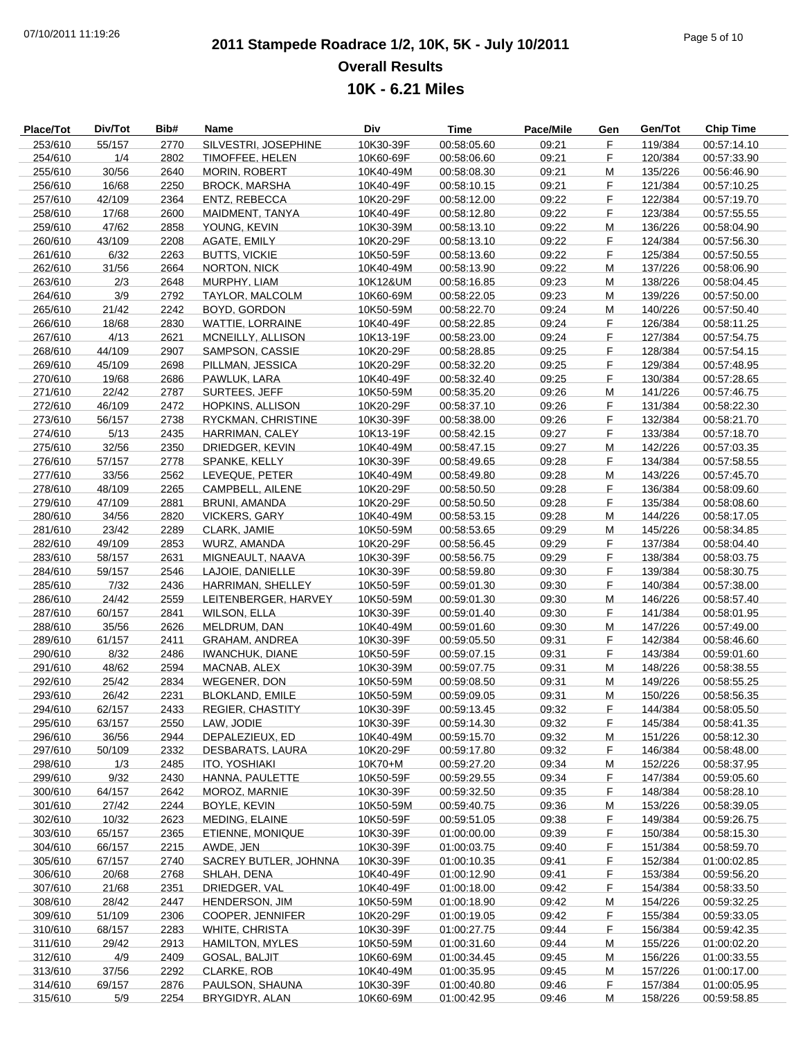# **2011 Stampede Roadrace 1/2, 10K, 5K - July 10/2011** 07/10/2011 11:19:26 Page 5 of 10 **Overall Results 10K - 6.21 Miles**

| Place/Tot | Div/Tot | Bib# | Name                    | Div       | <b>Time</b> | Pace/Mile | Gen | Gen/Tot | <b>Chip Time</b> |
|-----------|---------|------|-------------------------|-----------|-------------|-----------|-----|---------|------------------|
| 253/610   | 55/157  | 2770 | SILVESTRI, JOSEPHINE    | 10K30-39F | 00:58:05.60 | 09:21     | F   | 119/384 | 00:57:14.10      |
| 254/610   | 1/4     | 2802 | TIMOFFEE, HELEN         | 10K60-69F | 00:58:06.60 | 09:21     | F   | 120/384 | 00:57:33.90      |
| 255/610   | 30/56   | 2640 | <b>MORIN, ROBERT</b>    | 10K40-49M | 00:58:08.30 | 09:21     | M   | 135/226 | 00:56:46.90      |
| 256/610   | 16/68   | 2250 | <b>BROCK, MARSHA</b>    | 10K40-49F | 00:58:10.15 | 09:21     | F   | 121/384 | 00:57:10.25      |
| 257/610   | 42/109  | 2364 | ENTZ, REBECCA           | 10K20-29F | 00:58:12.00 | 09:22     | F   | 122/384 | 00:57:19.70      |
| 258/610   | 17/68   | 2600 | MAIDMENT, TANYA         | 10K40-49F | 00:58:12.80 | 09:22     | F   | 123/384 | 00:57:55.55      |
| 259/610   | 47/62   | 2858 | YOUNG, KEVIN            | 10K30-39M | 00:58:13.10 | 09:22     | M   | 136/226 | 00:58:04.90      |
| 260/610   | 43/109  | 2208 |                         | 10K20-29F | 00:58:13.10 | 09:22     | F   | 124/384 | 00:57:56.30      |
|           |         |      | AGATE, EMILY            |           |             |           |     |         |                  |
| 261/610   | 6/32    | 2263 | <b>BUTTS, VICKIE</b>    | 10K50-59F | 00:58:13.60 | 09:22     | F   | 125/384 | 00:57:50.55      |
| 262/610   | 31/56   | 2664 | NORTON, NICK            | 10K40-49M | 00:58:13.90 | 09:22     | M   | 137/226 | 00:58:06.90      |
| 263/610   | 2/3     | 2648 | MURPHY, LIAM            | 10K12&UM  | 00:58:16.85 | 09:23     | M   | 138/226 | 00:58:04.45      |
| 264/610   | 3/9     | 2792 | TAYLOR, MALCOLM         | 10K60-69M | 00:58:22.05 | 09:23     | M   | 139/226 | 00:57:50.00      |
| 265/610   | 21/42   | 2242 | BOYD, GORDON            | 10K50-59M | 00:58:22.70 | 09:24     | M   | 140/226 | 00:57:50.40      |
| 266/610   | 18/68   | 2830 | <b>WATTIE, LORRAINE</b> | 10K40-49F | 00:58:22.85 | 09:24     | F   | 126/384 | 00:58:11.25      |
| 267/610   | 4/13    | 2621 | MCNEILLY, ALLISON       | 10K13-19F | 00:58:23.00 | 09:24     | F   | 127/384 | 00:57:54.75      |
| 268/610   | 44/109  | 2907 | SAMPSON, CASSIE         | 10K20-29F | 00:58:28.85 | 09:25     | F   | 128/384 | 00:57:54.15      |
| 269/610   | 45/109  | 2698 | PILLMAN, JESSICA        | 10K20-29F | 00:58:32.20 | 09:25     | F   | 129/384 | 00:57:48.95      |
| 270/610   | 19/68   | 2686 | PAWLUK, LARA            | 10K40-49F | 00:58:32.40 | 09:25     | F   | 130/384 | 00:57:28.65      |
| 271/610   | 22/42   | 2787 | SURTEES, JEFF           | 10K50-59M | 00:58:35.20 | 09:26     | M   | 141/226 | 00:57:46.75      |
| 272/610   | 46/109  | 2472 | <b>HOPKINS, ALLISON</b> | 10K20-29F | 00:58:37.10 | 09:26     | F   | 131/384 | 00:58:22.30      |
| 273/610   | 56/157  | 2738 | RYCKMAN, CHRISTINE      | 10K30-39F | 00:58:38.00 | 09:26     | F   | 132/384 | 00:58:21.70      |
| 274/610   | 5/13    | 2435 | HARRIMAN, CALEY         | 10K13-19F | 00:58:42.15 | 09:27     | F   | 133/384 | 00:57:18.70      |
| 275/610   | 32/56   | 2350 | DRIEDGER, KEVIN         | 10K40-49M | 00:58:47.15 | 09:27     | M   | 142/226 | 00:57:03.35      |
| 276/610   | 57/157  | 2778 | SPANKE, KELLY           | 10K30-39F | 00:58:49.65 | 09:28     | F   | 134/384 | 00:57:58.55      |
| 277/610   | 33/56   | 2562 | LEVEQUE, PETER          | 10K40-49M | 00:58:49.80 | 09:28     | M   | 143/226 | 00:57:45.70      |
|           |         |      | CAMPBELL, AILENE        |           |             |           | F   |         |                  |
| 278/610   | 48/109  | 2265 |                         | 10K20-29F | 00:58:50.50 | 09:28     |     | 136/384 | 00:58:09.60      |
| 279/610   | 47/109  | 2881 | <b>BRUNI, AMANDA</b>    | 10K20-29F | 00:58:50.50 | 09:28     | F   | 135/384 | 00:58:08.60      |
| 280/610   | 34/56   | 2820 | <b>VICKERS, GARY</b>    | 10K40-49M | 00:58:53.15 | 09:28     | M   | 144/226 | 00:58:17.05      |
| 281/610   | 23/42   | 2289 | CLARK, JAMIE            | 10K50-59M | 00:58:53.65 | 09:29     | М   | 145/226 | 00:58:34.85      |
| 282/610   | 49/109  | 2853 | WURZ, AMANDA            | 10K20-29F | 00:58:56.45 | 09:29     | F   | 137/384 | 00:58:04.40      |
| 283/610   | 58/157  | 2631 | MIGNEAULT, NAAVA        | 10K30-39F | 00:58:56.75 | 09:29     | F   | 138/384 | 00:58:03.75      |
| 284/610   | 59/157  | 2546 | LAJOIE, DANIELLE        | 10K30-39F | 00:58:59.80 | 09:30     | F   | 139/384 | 00:58:30.75      |
| 285/610   | 7/32    | 2436 | HARRIMAN, SHELLEY       | 10K50-59F | 00:59:01.30 | 09:30     | F   | 140/384 | 00:57:38.00      |
| 286/610   | 24/42   | 2559 | LEITENBERGER, HARVEY    | 10K50-59M | 00:59:01.30 | 09:30     | M   | 146/226 | 00:58:57.40      |
| 287/610   | 60/157  | 2841 | <b>WILSON, ELLA</b>     | 10K30-39F | 00:59:01.40 | 09:30     | F   | 141/384 | 00:58:01.95      |
| 288/610   | 35/56   | 2626 | MELDRUM, DAN            | 10K40-49M | 00:59:01.60 | 09:30     | M   | 147/226 | 00:57:49.00      |
| 289/610   | 61/157  | 2411 | <b>GRAHAM, ANDREA</b>   | 10K30-39F | 00:59:05.50 | 09:31     | F   | 142/384 | 00:58:46.60      |
| 290/610   | 8/32    | 2486 | <b>IWANCHUK, DIANE</b>  | 10K50-59F | 00:59:07.15 | 09:31     | F   | 143/384 | 00:59:01.60      |
| 291/610   | 48/62   | 2594 | MACNAB, ALEX            | 10K30-39M | 00:59:07.75 | 09:31     | M   | 148/226 | 00:58:38.55      |
| 292/610   | 25/42   | 2834 | <b>WEGENER, DON</b>     | 10K50-59M | 00:59:08.50 | 09:31     | M   | 149/226 | 00:58:55.25      |
| 293/610   | 26/42   | 2231 | <b>BLOKLAND, EMILE</b>  | 10K50-59M | 00:59:09.05 | 09:31     | M   | 150/226 | 00:58:56.35      |
| 294/610   | 62/157  | 2433 | REGIER, CHASTITY        | 10K30-39F | 00:59:13.45 | 09:32     | F,  | 144/384 | 00:58:05.50      |
| 295/610   | 63/157  | 2550 | LAW, JODIE              | 10K30-39F | 00:59:14.30 | 09:32     | F   | 145/384 | 00:58:41.35      |
| 296/610   | 36/56   | 2944 | DEPALEZIEUX, ED         | 10K40-49M | 00:59:15.70 | 09:32     | M   | 151/226 | 00:58:12.30      |
|           |         |      | <b>DESBARATS, LAURA</b> |           |             |           |     |         |                  |
| 297/610   | 50/109  | 2332 |                         | 10K20-29F | 00:59:17.80 | 09:32     | F.  | 146/384 | 00:58:48.00      |
| 298/610   | 1/3     | 2485 | ITO, YOSHIAKI           | 10K70+M   | 00:59:27.20 | 09:34     | M   | 152/226 | 00:58:37.95      |
| 299/610   | 9/32    | 2430 | HANNA, PAULETTE         | 10K50-59F | 00:59:29.55 | 09:34     | F   | 147/384 | 00:59:05.60      |
| 300/610   | 64/157  | 2642 | MOROZ, MARNIE           | 10K30-39F | 00:59:32.50 | 09:35     | F   | 148/384 | 00:58:28.10      |
| 301/610   | 27/42   | 2244 | BOYLE, KEVIN            | 10K50-59M | 00:59:40.75 | 09:36     | M   | 153/226 | 00:58:39.05      |
| 302/610   | 10/32   | 2623 | MEDING, ELAINE          | 10K50-59F | 00:59:51.05 | 09:38     | F   | 149/384 | 00:59:26.75      |
| 303/610   | 65/157  | 2365 | ETIENNE, MONIQUE        | 10K30-39F | 01:00:00.00 | 09:39     | F   | 150/384 | 00:58:15.30      |
| 304/610   | 66/157  | 2215 | AWDE, JEN               | 10K30-39F | 01:00:03.75 | 09:40     | F   | 151/384 | 00:58:59.70      |
| 305/610   | 67/157  | 2740 | SACREY BUTLER, JOHNNA   | 10K30-39F | 01:00:10.35 | 09:41     | F   | 152/384 | 01:00:02.85      |
| 306/610   | 20/68   | 2768 | SHLAH, DENA             | 10K40-49F | 01:00:12.90 | 09:41     | F   | 153/384 | 00:59:56.20      |
| 307/610   | 21/68   | 2351 | DRIEDGER, VAL           | 10K40-49F | 01:00:18.00 | 09:42     | F   | 154/384 | 00:58:33.50      |
| 308/610   | 28/42   | 2447 | HENDERSON, JIM          | 10K50-59M | 01:00:18.90 | 09:42     | M   | 154/226 | 00:59:32.25      |
| 309/610   | 51/109  | 2306 | COOPER, JENNIFER        | 10K20-29F | 01:00:19.05 | 09:42     | F.  | 155/384 | 00:59:33.05      |
| 310/610   | 68/157  | 2283 | WHITE, CHRISTA          | 10K30-39F | 01:00:27.75 | 09:44     | F   | 156/384 | 00:59:42.35      |
| 311/610   | 29/42   | 2913 | <b>HAMILTON, MYLES</b>  | 10K50-59M | 01:00:31.60 | 09:44     | M   | 155/226 | 01:00:02.20      |
| 312/610   | 4/9     | 2409 | <b>GOSAL, BALJIT</b>    | 10K60-69M | 01:00:34.45 | 09:45     | M   | 156/226 | 01:00:33.55      |
| 313/610   | 37/56   | 2292 | CLARKE, ROB             | 10K40-49M | 01:00:35.95 | 09:45     | M   | 157/226 | 01:00:17.00      |
| 314/610   | 69/157  | 2876 | PAULSON, SHAUNA         | 10K30-39F | 01:00:40.80 | 09:46     | F.  | 157/384 | 01:00:05.95      |
| 315/610   | 5/9     | 2254 | BRYGIDYR, ALAN          | 10K60-69M | 01:00:42.95 |           | M   | 158/226 | 00:59:58.85      |
|           |         |      |                         |           |             | 09:46     |     |         |                  |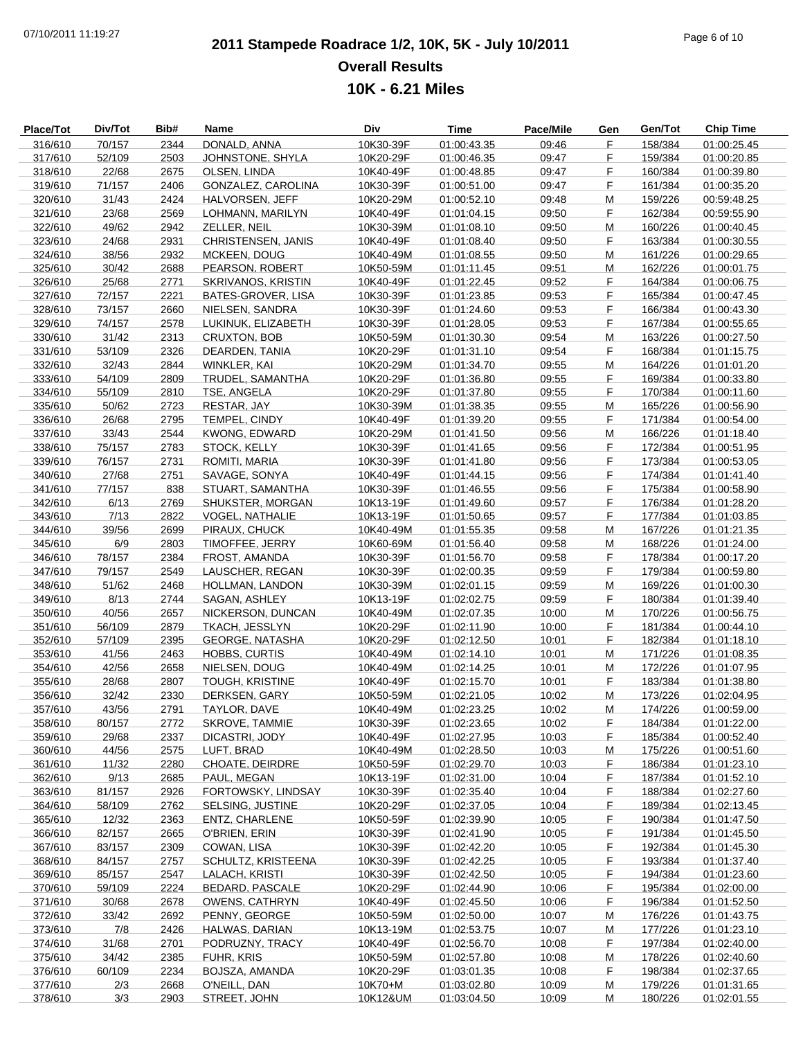# **2011 Stampede Roadrace 1/2, 10K, 5K - July 10/2011** 07/10/2011 11:19:27 Page 6 of 10 **Overall Results 10K - 6.21 Miles**

| Place/Tot | Div/Tot | Bib# | Name                   | Div       | <b>Time</b> | Pace/Mile | Gen | Gen/Tot | <b>Chip Time</b> |
|-----------|---------|------|------------------------|-----------|-------------|-----------|-----|---------|------------------|
| 316/610   | 70/157  | 2344 | DONALD, ANNA           | 10K30-39F | 01:00:43.35 | 09:46     | F   | 158/384 | 01:00:25.45      |
| 317/610   | 52/109  | 2503 | JOHNSTONE, SHYLA       | 10K20-29F | 01:00:46.35 | 09:47     | F   | 159/384 | 01:00:20.85      |
| 318/610   | 22/68   | 2675 | OLSEN, LINDA           | 10K40-49F | 01:00:48.85 | 09:47     | F   | 160/384 | 01:00:39.80      |
|           |         |      |                        |           |             |           | F   |         |                  |
| 319/610   | 71/157  | 2406 | GONZALEZ, CAROLINA     | 10K30-39F | 01:00:51.00 | 09:47     |     | 161/384 | 01:00:35.20      |
| 320/610   | 31/43   | 2424 | HALVORSEN, JEFF        | 10K20-29M | 01:00:52.10 | 09:48     | M   | 159/226 | 00:59:48.25      |
| 321/610   | 23/68   | 2569 | LOHMANN, MARILYN       | 10K40-49F | 01:01:04.15 | 09:50     | F   | 162/384 | 00:59:55.90      |
| 322/610   | 49/62   | 2942 | ZELLER, NEIL           | 10K30-39M | 01:01:08.10 | 09:50     | M   | 160/226 | 01:00:40.45      |
| 323/610   | 24/68   | 2931 | CHRISTENSEN, JANIS     | 10K40-49F | 01:01:08.40 | 09:50     | F.  | 163/384 | 01:00:30.55      |
| 324/610   | 38/56   | 2932 | MCKEEN, DOUG           | 10K40-49M | 01:01:08.55 | 09:50     | M   | 161/226 | 01:00:29.65      |
| 325/610   | 30/42   | 2688 | PEARSON, ROBERT        | 10K50-59M | 01:01:11.45 | 09:51     | M   | 162/226 | 01:00:01.75      |
|           |         |      |                        | 10K40-49F |             |           |     |         |                  |
| 326/610   | 25/68   | 2771 | SKRIVANOS, KRISTIN     |           | 01:01:22.45 | 09:52     | F   | 164/384 | 01:00:06.75      |
| 327/610   | 72/157  | 2221 | BATES-GROVER, LISA     | 10K30-39F | 01:01:23.85 | 09:53     | F   | 165/384 | 01:00:47.45      |
| 328/610   | 73/157  | 2660 | NIELSEN, SANDRA        | 10K30-39F | 01:01:24.60 | 09:53     | F   | 166/384 | 01:00:43.30      |
| 329/610   | 74/157  | 2578 | LUKINUK, ELIZABETH     | 10K30-39F | 01:01:28.05 | 09:53     | F   | 167/384 | 01:00:55.65      |
| 330/610   | 31/42   | 2313 | <b>CRUXTON, BOB</b>    | 10K50-59M | 01:01:30.30 | 09:54     | M   | 163/226 | 01:00:27.50      |
| 331/610   | 53/109  | 2326 | DEARDEN, TANIA         | 10K20-29F | 01:01:31.10 | 09:54     | F.  | 168/384 | 01:01:15.75      |
| 332/610   | 32/43   | 2844 | WINKLER, KAI           | 10K20-29M | 01:01:34.70 | 09:55     | M   | 164/226 | 01:01:01.20      |
| 333/610   | 54/109  | 2809 |                        | 10K20-29F | 01:01:36.80 | 09:55     | F   | 169/384 | 01:00:33.80      |
|           |         |      | TRUDEL, SAMANTHA       |           |             |           |     |         |                  |
| 334/610   | 55/109  | 2810 | TSE, ANGELA            | 10K20-29F | 01:01:37.80 | 09:55     | F   | 170/384 | 01:00:11.60      |
| 335/610   | 50/62   | 2723 | RESTAR, JAY            | 10K30-39M | 01:01:38.35 | 09:55     | M   | 165/226 | 01:00:56.90      |
| 336/610   | 26/68   | 2795 | TEMPEL, CINDY          | 10K40-49F | 01:01:39.20 | 09:55     | F.  | 171/384 | 01:00:54.00      |
| 337/610   | 33/43   | 2544 | <b>KWONG, EDWARD</b>   | 10K20-29M | 01:01:41.50 | 09:56     | M   | 166/226 | 01:01:18.40      |
| 338/610   | 75/157  | 2783 | STOCK, KELLY           | 10K30-39F | 01:01:41.65 | 09:56     | F   | 172/384 | 01:00:51.95      |
| 339/610   | 76/157  | 2731 | ROMITI, MARIA          | 10K30-39F | 01:01:41.80 | 09:56     | F   | 173/384 | 01:00:53.05      |
| 340/610   | 27/68   | 2751 | SAVAGE, SONYA          | 10K40-49F | 01:01:44.15 | 09:56     | F   | 174/384 | 01:01:41.40      |
|           |         |      |                        |           |             |           |     |         |                  |
| 341/610   | 77/157  | 838  | STUART, SAMANTHA       | 10K30-39F | 01:01:46.55 | 09:56     | F   | 175/384 | 01:00:58.90      |
| 342/610   | 6/13    | 2769 | SHUKSTER, MORGAN       | 10K13-19F | 01:01:49.60 | 09:57     | F   | 176/384 | 01:01:28.20      |
| 343/610   | 7/13    | 2822 | <b>VOGEL, NATHALIE</b> | 10K13-19F | 01:01:50.65 | 09:57     | F   | 177/384 | 01:01:03.85      |
| 344/610   | 39/56   | 2699 | PIRAUX, CHUCK          | 10K40-49M | 01:01:55.35 | 09:58     | M   | 167/226 | 01:01:21.35      |
| 345/610   | 6/9     | 2803 | TIMOFFEE, JERRY        | 10K60-69M | 01:01:56.40 | 09:58     | M   | 168/226 | 01:01:24.00      |
| 346/610   | 78/157  | 2384 | FROST, AMANDA          | 10K30-39F | 01:01:56.70 | 09:58     | F   | 178/384 | 01:00:17.20      |
| 347/610   | 79/157  | 2549 | LAUSCHER, REGAN        | 10K30-39F | 01:02:00.35 | 09:59     | F   | 179/384 | 01:00:59.80      |
|           |         |      |                        | 10K30-39M |             |           |     |         |                  |
| 348/610   | 51/62   | 2468 | HOLLMAN, LANDON        |           | 01:02:01.15 | 09:59     | M   | 169/226 | 01:01:00.30      |
| 349/610   | 8/13    | 2744 | SAGAN, ASHLEY          | 10K13-19F | 01:02:02.75 | 09:59     | F   | 180/384 | 01:01:39.40      |
| 350/610   | 40/56   | 2657 | NICKERSON, DUNCAN      | 10K40-49M | 01:02:07.35 | 10:00     | M   | 170/226 | 01:00:56.75      |
| 351/610   | 56/109  | 2879 | TKACH, JESSLYN         | 10K20-29F | 01:02:11.90 | 10:00     | F.  | 181/384 | 01:00:44.10      |
| 352/610   | 57/109  | 2395 | <b>GEORGE, NATASHA</b> | 10K20-29F | 01:02:12.50 | 10:01     | F   | 182/384 | 01:01:18.10      |
| 353/610   | 41/56   | 2463 | HOBBS, CURTIS          | 10K40-49M | 01:02:14.10 | 10:01     | M   | 171/226 | 01:01:08.35      |
| 354/610   | 42/56   | 2658 | NIELSEN, DOUG          | 10K40-49M | 01:02:14.25 | 10:01     | M   | 172/226 | 01:01:07.95      |
|           |         |      |                        |           | 01:02:15.70 |           | F.  |         |                  |
| 355/610   | 28/68   | 2807 | <b>TOUGH, KRISTINE</b> | 10K40-49F |             | 10:01     |     | 183/384 | 01:01:38.80      |
| 356/610   | 32/42   | 2330 | DERKSEN, GARY          | 10K50-59M | 01:02:21.05 | 10:02     | M   | 173/226 | 01:02:04.95      |
| 357/610   | 43/56   | 2791 | TAYLOR, DAVE           | 10K40-49M | 01:02:23.25 | 10:02     | М   | 174/226 | 01:00:59.00      |
| 358/610   | 80/157  | 2772 | SKROVE, TAMMIE         | 10K30-39F | 01:02:23.65 | 10:02     | F   | 184/384 | 01:01:22.00      |
| 359/610   | 29/68   | 2337 | DICASTRI, JODY         | 10K40-49F | 01:02:27.95 | 10:03     | F   | 185/384 | 01:00:52.40      |
| 360/610   | 44/56   | 2575 | LUFT, BRAD             | 10K40-49M | 01:02:28.50 | 10:03     | M   | 175/226 | 01:00:51.60      |
| 361/610   | 11/32   | 2280 | CHOATE, DEIRDRE        | 10K50-59F | 01:02:29.70 | 10:03     | F.  | 186/384 | 01:01:23.10      |
| 362/610   | 9/13    | 2685 | PAUL, MEGAN            | 10K13-19F | 01:02:31.00 | 10:04     | F   | 187/384 | 01:01:52.10      |
|           |         |      |                        |           |             |           |     |         |                  |
| 363/610   | 81/157  | 2926 | FORTOWSKY, LINDSAY     | 10K30-39F | 01:02:35.40 | 10:04     | F.  | 188/384 | 01:02:27.60      |
| 364/610   | 58/109  | 2762 | SELSING, JUSTINE       | 10K20-29F | 01:02:37.05 | 10:04     | F   | 189/384 | 01:02:13.45      |
| 365/610   | 12/32   | 2363 | ENTZ, CHARLENE         | 10K50-59F | 01:02:39.90 | 10:05     | F   | 190/384 | 01:01:47.50      |
| 366/610   | 82/157  | 2665 | O'BRIEN, ERIN          | 10K30-39F | 01:02:41.90 | 10:05     | F   | 191/384 | 01:01:45.50      |
| 367/610   | 83/157  | 2309 | COWAN, LISA            | 10K30-39F | 01:02:42.20 | 10:05     | F.  | 192/384 | 01:01:45.30      |
| 368/610   | 84/157  | 2757 | SCHULTZ, KRISTEENA     | 10K30-39F | 01:02:42.25 | 10:05     | F   | 193/384 | 01:01:37.40      |
| 369/610   | 85/157  | 2547 | LALACH, KRISTI         | 10K30-39F | 01:02:42.50 | 10:05     | F   | 194/384 | 01:01:23.60      |
|           |         |      |                        |           |             |           |     |         |                  |
| 370/610   | 59/109  | 2224 | <b>BEDARD, PASCALE</b> | 10K20-29F | 01:02:44.90 | 10:06     | F   | 195/384 | 01:02:00.00      |
| 371/610   | 30/68   | 2678 | <b>OWENS, CATHRYN</b>  | 10K40-49F | 01:02:45.50 | 10:06     | F.  | 196/384 | 01:01:52.50      |
| 372/610   | 33/42   | 2692 | PENNY, GEORGE          | 10K50-59M | 01:02:50.00 | 10:07     | M   | 176/226 | 01:01:43.75      |
| 373/610   | 7/8     | 2426 | HALWAS, DARIAN         | 10K13-19M | 01:02:53.75 | 10:07     | M   | 177/226 | 01:01:23.10      |
| 374/610   | 31/68   | 2701 | PODRUZNY, TRACY        | 10K40-49F | 01:02:56.70 | 10:08     | F   | 197/384 | 01:02:40.00      |
| 375/610   | 34/42   | 2385 | FUHR, KRIS             | 10K50-59M | 01:02:57.80 | 10:08     | M   | 178/226 | 01:02:40.60      |
| 376/610   | 60/109  | 2234 | BOJSZA, AMANDA         | 10K20-29F | 01:03:01.35 | 10:08     | F.  | 198/384 | 01:02:37.65      |
|           |         |      |                        |           |             |           |     |         |                  |
| 377/610   | 2/3     | 2668 | O'NEILL, DAN           | 10K70+M   | 01:03:02.80 | 10:09     | M   | 179/226 | 01:01:31.65      |
| 378/610   | 3/3     | 2903 | STREET, JOHN           | 10K12&UM  | 01:03:04.50 | 10:09     | M   | 180/226 | 01:02:01.55      |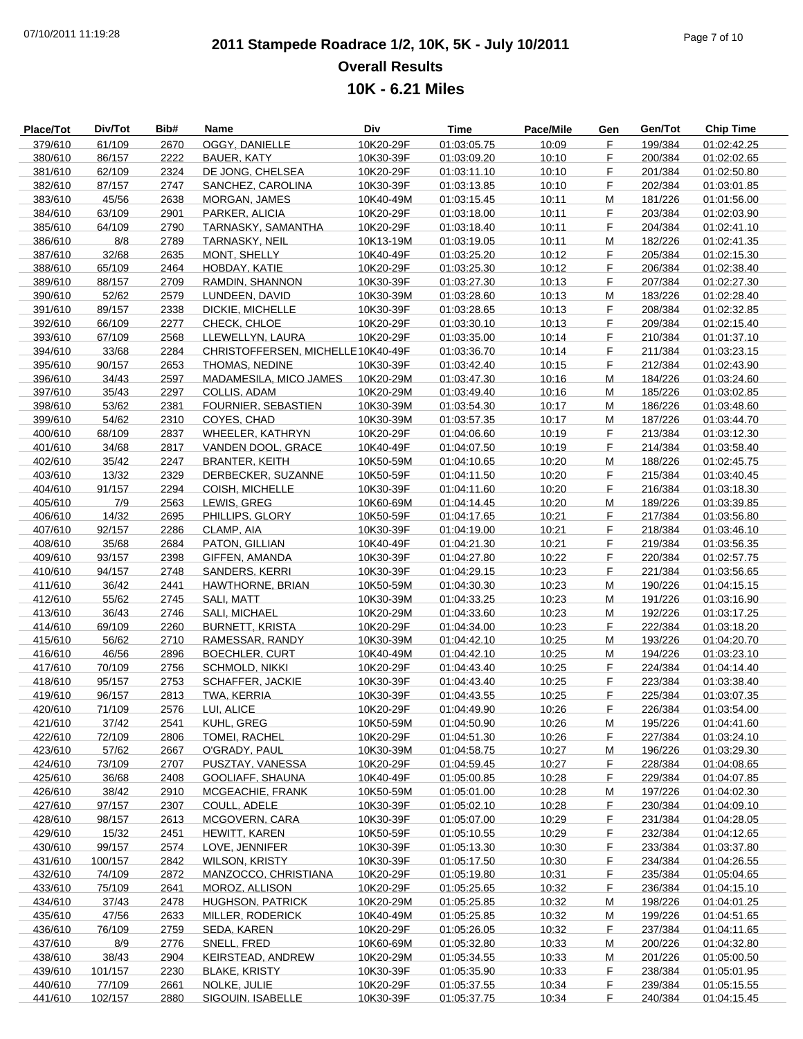# **2011 Stampede Roadrace 1/2, 10K, 5K - July 10/2011** 07/10/2011 11:19:28 Page 7 of 10 **Overall Results 10K - 6.21 Miles**

| Place/Tot | Div/Tot | Bib# | Name                               | Div       | <b>Time</b> | Pace/Mile | Gen | Gen/Tot | <b>Chip Time</b> |
|-----------|---------|------|------------------------------------|-----------|-------------|-----------|-----|---------|------------------|
| 379/610   | 61/109  | 2670 | OGGY, DANIELLE                     | 10K20-29F | 01:03:05.75 | 10:09     | F   | 199/384 | 01:02:42.25      |
| 380/610   | 86/157  | 2222 | <b>BAUER, KATY</b>                 | 10K30-39F | 01:03:09.20 | 10:10     | F.  | 200/384 | 01:02:02.65      |
| 381/610   | 62/109  | 2324 | DE JONG, CHELSEA                   | 10K20-29F | 01:03:11.10 | 10:10     | F   | 201/384 | 01:02:50.80      |
| 382/610   | 87/157  | 2747 | SANCHEZ, CAROLINA                  | 10K30-39F | 01:03:13.85 | 10:10     | F   | 202/384 | 01:03:01.85      |
| 383/610   | 45/56   | 2638 | MORGAN, JAMES                      | 10K40-49M | 01:03:15.45 | 10:11     | M   | 181/226 | 01:01:56.00      |
| 384/610   | 63/109  | 2901 | PARKER, ALICIA                     | 10K20-29F | 01:03:18.00 | 10:11     | F   | 203/384 | 01:02:03.90      |
| 385/610   | 64/109  | 2790 | TARNASKY, SAMANTHA                 | 10K20-29F | 01:03:18.40 | 10:11     | F   | 204/384 | 01:02:41.10      |
| 386/610   | 8/8     | 2789 | <b>TARNASKY, NEIL</b>              | 10K13-19M | 01:03:19.05 | 10:11     | M   | 182/226 | 01:02:41.35      |
| 387/610   | 32/68   | 2635 | MONT, SHELLY                       | 10K40-49F | 01:03:25.20 | 10:12     | F   | 205/384 | 01:02:15.30      |
|           |         |      |                                    |           |             |           | F   |         |                  |
| 388/610   | 65/109  | 2464 | HOBDAY, KATIE                      | 10K20-29F | 01:03:25.30 | 10:12     |     | 206/384 | 01:02:38.40      |
| 389/610   | 88/157  | 2709 | RAMDIN, SHANNON                    | 10K30-39F | 01:03:27.30 | 10:13     | F   | 207/384 | 01:02:27.30      |
| 390/610   | 52/62   | 2579 | LUNDEEN, DAVID                     | 10K30-39M | 01:03:28.60 | 10:13     | M   | 183/226 | 01:02:28.40      |
| 391/610   | 89/157  | 2338 | DICKIE, MICHELLE                   | 10K30-39F | 01:03:28.65 | 10:13     | F   | 208/384 | 01:02:32.85      |
| 392/610   | 66/109  | 2277 | CHECK, CHLOE                       | 10K20-29F | 01:03:30.10 | 10:13     | F   | 209/384 | 01:02:15.40      |
| 393/610   | 67/109  | 2568 | LLEWELLYN, LAURA                   | 10K20-29F | 01:03:35.00 | 10:14     | F   | 210/384 | 01:01:37.10      |
| 394/610   | 33/68   | 2284 | CHRISTOFFERSEN, MICHELLE 10K40-49F |           | 01:03:36.70 | 10:14     | F   | 211/384 | 01:03:23.15      |
| 395/610   | 90/157  | 2653 | THOMAS, NEDINE                     | 10K30-39F | 01:03:42.40 | 10:15     | F   | 212/384 | 01:02:43.90      |
| 396/610   | 34/43   | 2597 | MADAMESILA, MICO JAMES             | 10K20-29M | 01:03:47.30 | 10:16     | M   | 184/226 | 01:03:24.60      |
| 397/610   | 35/43   | 2297 | COLLIS, ADAM                       | 10K20-29M | 01:03:49.40 | 10:16     | M   | 185/226 | 01:03:02.85      |
| 398/610   | 53/62   | 2381 | FOURNIER, SEBASTIEN                | 10K30-39M | 01:03:54.30 | 10:17     | M   | 186/226 | 01:03:48.60      |
| 399/610   | 54/62   | 2310 | COYES, CHAD                        | 10K30-39M | 01:03:57.35 | 10:17     | M   | 187/226 | 01:03:44.70      |
| 400/610   | 68/109  | 2837 | WHEELER, KATHRYN                   | 10K20-29F | 01:04:06.60 | 10:19     | F.  | 213/384 | 01:03:12.30      |
| 401/610   | 34/68   | 2817 | VANDEN DOOL, GRACE                 | 10K40-49F | 01:04:07.50 | 10:19     | F   | 214/384 | 01:03:58.40      |
| 402/610   | 35/42   | 2247 | <b>BRANTER, KEITH</b>              | 10K50-59M | 01:04:10.65 | 10:20     | M   | 188/226 | 01:02:45.75      |
| 403/610   | 13/32   | 2329 | DERBECKER, SUZANNE                 | 10K50-59F | 01:04:11.50 | 10:20     | F   | 215/384 | 01:03:40.45      |
| 404/610   | 91/157  | 2294 | COISH, MICHELLE                    | 10K30-39F | 01:04:11.60 | 10:20     | F   | 216/384 | 01:03:18.30      |
| 405/610   | 7/9     | 2563 | LEWIS, GREG                        | 10K60-69M | 01:04:14.45 | 10:20     | M   | 189/226 | 01:03:39.85      |
|           |         |      |                                    |           |             |           | F   |         |                  |
| 406/610   | 14/32   | 2695 | PHILLIPS, GLORY                    | 10K50-59F | 01:04:17.65 | 10:21     |     | 217/384 | 01:03:56.80      |
| 407/610   | 92/157  | 2286 | CLAMP, AIA                         | 10K30-39F | 01:04:19.00 | 10:21     | F   | 218/384 | 01:03:46.10      |
| 408/610   | 35/68   | 2684 | PATON, GILLIAN                     | 10K40-49F | 01:04:21.30 | 10:21     | F   | 219/384 | 01:03:56.35      |
| 409/610   | 93/157  | 2398 | GIFFEN, AMANDA                     | 10K30-39F | 01:04:27.80 | 10:22     | F   | 220/384 | 01:02:57.75      |
| 410/610   | 94/157  | 2748 | SANDERS, KERRI                     | 10K30-39F | 01:04:29.15 | 10:23     | F   | 221/384 | 01:03:56.65      |
| 411/610   | 36/42   | 2441 | HAWTHORNE, BRIAN                   | 10K50-59M | 01:04:30.30 | 10:23     | M   | 190/226 | 01:04:15.15      |
| 412/610   | 55/62   | 2745 | SALI, MATT                         | 10K30-39M | 01:04:33.25 | 10:23     | M   | 191/226 | 01:03:16.90      |
| 413/610   | 36/43   | 2746 | SALI, MICHAEL                      | 10K20-29M | 01:04:33.60 | 10:23     | M   | 192/226 | 01:03:17.25      |
| 414/610   | 69/109  | 2260 | <b>BURNETT, KRISTA</b>             | 10K20-29F | 01:04:34.00 | 10:23     | F   | 222/384 | 01:03:18.20      |
| 415/610   | 56/62   | 2710 | RAMESSAR, RANDY                    | 10K30-39M | 01:04:42.10 | 10:25     | M   | 193/226 | 01:04:20.70      |
| 416/610   | 46/56   | 2896 | <b>BOECHLER, CURT</b>              | 10K40-49M | 01:04:42.10 | 10:25     | M   | 194/226 | 01:03:23.10      |
| 417/610   | 70/109  | 2756 | <b>SCHMOLD, NIKKI</b>              | 10K20-29F | 01:04:43.40 | 10:25     | F   | 224/384 | 01:04:14.40      |
| 418/610   | 95/157  | 2753 | SCHAFFER, JACKIE                   | 10K30-39F | 01:04:43.40 | 10:25     | F   | 223/384 | 01:03:38.40      |
| 419/610   | 96/157  | 2813 | TWA, KERRIA                        | 10K30-39F | 01:04:43.55 | 10:25     | F   | 225/384 | 01:03:07.35      |
| 420/610   | 71/109  | 2576 | LUI, ALICE                         | 10K20-29F | 01:04:49.90 | 10:26     | F   | 226/384 | 01:03:54.00      |
| 421/610   | 37/42   | 2541 | KUHL, GREG                         | 10K50-59M | 01:04:50.90 | 10:26     | M   | 195/226 | 01:04:41.60      |
| 422/610   | 72/109  | 2806 | TOMEI, RACHEL                      | 10K20-29F | 01:04:51.30 | 10:26     | F.  | 227/384 | 01:03:24.10      |
| 423/610   | 57/62   | 2667 | O'GRADY, PAUL                      | 10K30-39M | 01:04:58.75 | 10:27     |     | 196/226 | 01:03:29.30      |
|           |         |      |                                    |           |             |           | M   |         |                  |
| 424/610   | 73/109  | 2707 | PUSZTAY, VANESSA                   | 10K20-29F | 01:04:59.45 | 10:27     | F   | 228/384 | 01:04:08.65      |
| 425/610   | 36/68   | 2408 | GOOLIAFF, SHAUNA                   | 10K40-49F | 01:05:00.85 | 10:28     | F   | 229/384 | 01:04:07.85      |
| 426/610   | 38/42   | 2910 | MCGEACHIE, FRANK                   | 10K50-59M | 01:05:01.00 | 10:28     | M   | 197/226 | 01:04:02.30      |
| 427/610   | 97/157  | 2307 | COULL, ADELE                       | 10K30-39F | 01:05:02.10 | 10:28     | F   | 230/384 | 01:04:09.10      |
| 428/610   | 98/157  | 2613 | MCGOVERN, CARA                     | 10K30-39F | 01:05:07.00 | 10:29     | F   | 231/384 | 01:04:28.05      |
| 429/610   | 15/32   | 2451 | HEWITT, KAREN                      | 10K50-59F | 01:05:10.55 | 10:29     | F   | 232/384 | 01:04:12.65      |
| 430/610   | 99/157  | 2574 | LOVE, JENNIFER                     | 10K30-39F | 01:05:13.30 | 10:30     | F   | 233/384 | 01:03:37.80      |
| 431/610   | 100/157 | 2842 | <b>WILSON, KRISTY</b>              | 10K30-39F | 01:05:17.50 | 10:30     | F   | 234/384 | 01:04:26.55      |
| 432/610   | 74/109  | 2872 | MANZOCCO, CHRISTIANA               | 10K20-29F | 01:05:19.80 | 10:31     | F   | 235/384 | 01:05:04.65      |
| 433/610   | 75/109  | 2641 | MOROZ, ALLISON                     | 10K20-29F | 01:05:25.65 | 10:32     | F   | 236/384 | 01:04:15.10      |
| 434/610   | 37/43   | 2478 | <b>HUGHSON, PATRICK</b>            | 10K20-29M | 01:05:25.85 | 10:32     | M   | 198/226 | 01:04:01.25      |
| 435/610   | 47/56   | 2633 | MILLER, RODERICK                   | 10K40-49M | 01:05:25.85 | 10:32     | M   | 199/226 | 01:04:51.65      |
| 436/610   | 76/109  | 2759 | SEDA, KAREN                        | 10K20-29F | 01:05:26.05 | 10:32     | F   | 237/384 | 01:04:11.65      |
| 437/610   | 8/9     | 2776 | SNELL, FRED                        | 10K60-69M | 01:05:32.80 | 10:33     | M   | 200/226 | 01:04:32.80      |
| 438/610   | 38/43   | 2904 | <b>KEIRSTEAD, ANDREW</b>           | 10K20-29M | 01:05:34.55 | 10:33     | M   | 201/226 | 01:05:00.50      |
|           |         |      |                                    |           |             |           |     |         |                  |
| 439/610   | 101/157 | 2230 | <b>BLAKE, KRISTY</b>               | 10K30-39F | 01:05:35.90 | 10:33     | F.  | 238/384 | 01:05:01.95      |
| 440/610   | 77/109  | 2661 | NOLKE, JULIE                       | 10K20-29F | 01:05:37.55 | 10:34     | F   | 239/384 | 01:05:15.55      |
| 441/610   | 102/157 | 2880 | SIGOUIN, ISABELLE                  | 10K30-39F | 01:05:37.75 | 10:34     | F   | 240/384 | 01:04:15.45      |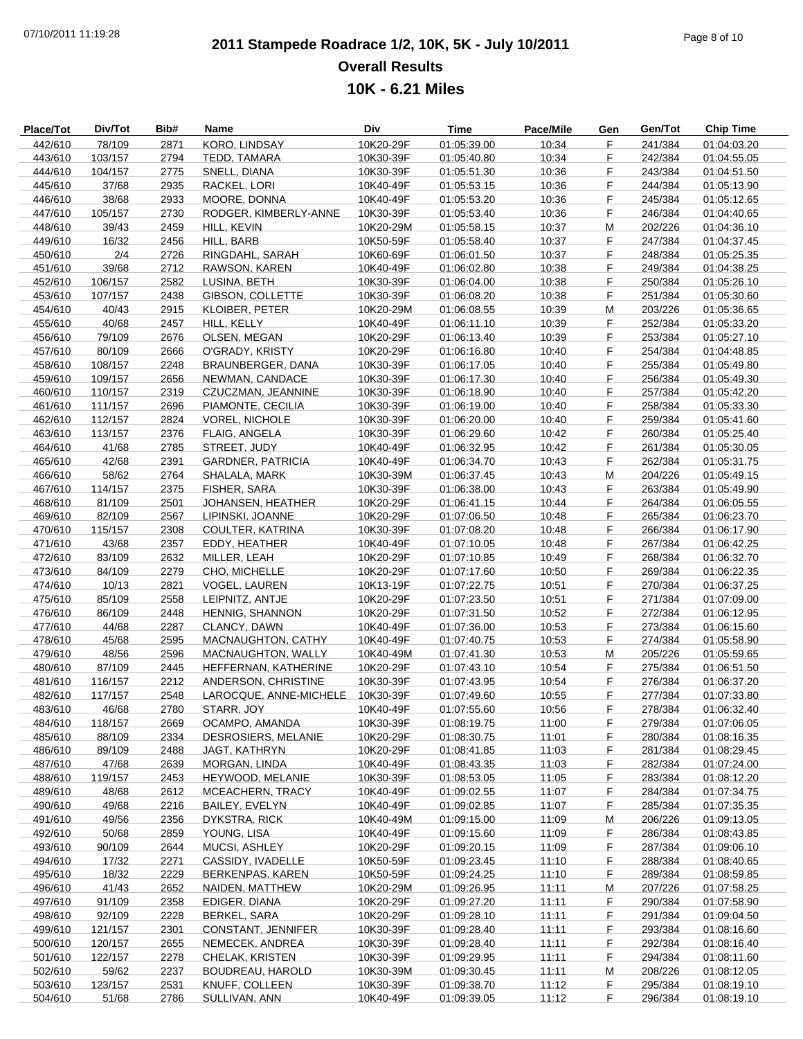# **2011 Stampede Roadrace 1/2, 10K, 5K - July 10/2011** 07/10/2011 11:19:28 Page 8 of 10 **Overall Results 10K - 6.21 Miles**

| Place/Tot | Div/Tot | Bib# | Name                     | Div       | <b>Time</b> | Pace/Mile | Gen | Gen/Tot | <b>Chip Time</b> |
|-----------|---------|------|--------------------------|-----------|-------------|-----------|-----|---------|------------------|
| 442/610   | 78/109  | 2871 | KORO, LINDSAY            | 10K20-29F | 01:05:39.00 | 10:34     | F   | 241/384 | 01:04:03.20      |
| 443/610   | 103/157 | 2794 | TEDD, TAMARA             | 10K30-39F | 01:05:40.80 | 10:34     | F   | 242/384 | 01:04:55.05      |
| 444/610   | 104/157 | 2775 | SNELL, DIANA             | 10K30-39F | 01:05:51.30 | 10:36     | F   | 243/384 | 01:04:51.50      |
| 445/610   | 37/68   | 2935 | RACKEL, LORI             | 10K40-49F | 01:05:53.15 | 10:36     | F   | 244/384 | 01:05:13.90      |
| 446/610   | 38/68   | 2933 | MOORE, DONNA             | 10K40-49F | 01:05:53.20 | 10:36     | F.  | 245/384 | 01:05:12.65      |
| 447/610   | 105/157 | 2730 | RODGER, KIMBERLY-ANNE    | 10K30-39F | 01:05:53.40 | 10:36     | F   | 246/384 | 01:04:40.65      |
| 448/610   | 39/43   | 2459 | HILL, KEVIN              | 10K20-29M | 01:05:58.15 | 10:37     | M   | 202/226 | 01:04:36.10      |
| 449/610   | 16/32   | 2456 | HILL, BARB               | 10K50-59F | 01:05:58.40 | 10:37     | F.  | 247/384 | 01:04:37.45      |
| 450/610   | 2/4     | 2726 | RINGDAHL, SARAH          | 10K60-69F | 01:06:01.50 | 10:37     | F.  | 248/384 | 01:05:25.35      |
| 451/610   | 39/68   | 2712 | RAWSON, KAREN            | 10K40-49F | 01:06:02.80 | 10:38     | F   | 249/384 | 01:04:38.25      |
| 452/610   | 106/157 | 2582 | LUSINA, BETH             | 10K30-39F | 01:06:04.00 | 10:38     | F.  | 250/384 | 01:05:26.10      |
| 453/610   | 107/157 | 2438 | GIBSON, COLLETTE         | 10K30-39F | 01:06:08.20 | 10:38     | F   | 251/384 | 01:05:30.60      |
| 454/610   | 40/43   | 2915 |                          | 10K20-29M | 01:06:08.55 | 10:39     | M   | 203/226 | 01:05:36.65      |
|           |         |      | <b>KLOIBER, PETER</b>    |           |             |           | F.  |         |                  |
| 455/610   | 40/68   | 2457 | HILL, KELLY              | 10K40-49F | 01:06:11.10 | 10:39     |     | 252/384 | 01:05:33.20      |
| 456/610   | 79/109  | 2676 | OLSEN, MEGAN             | 10K20-29F | 01:06:13.40 | 10:39     | F.  | 253/384 | 01:05:27.10      |
| 457/610   | 80/109  | 2666 | O'GRADY, KRISTY          | 10K20-29F | 01:06:16.80 | 10:40     | F   | 254/384 | 01:04:48.85      |
| 458/610   | 108/157 | 2248 | BRAUNBERGER, DANA        | 10K30-39F | 01:06:17.05 | 10:40     | F.  | 255/384 | 01:05:49.80      |
| 459/610   | 109/157 | 2656 | NEWMAN, CANDACE          | 10K30-39F | 01:06:17.30 | 10:40     | F.  | 256/384 | 01:05:49.30      |
| 460/610   | 110/157 | 2319 | CZUCZMAN, JEANNINE       | 10K30-39F | 01:06:18.90 | 10:40     | F   | 257/384 | 01:05:42.20      |
| 461/610   | 111/157 | 2696 | PIAMONTE, CECILIA        | 10K30-39F | 01:06:19.00 | 10:40     | F   | 258/384 | 01:05:33.30      |
| 462/610   | 112/157 | 2824 | <b>VOREL, NICHOLE</b>    | 10K30-39F | 01:06:20.00 | 10:40     | F.  | 259/384 | 01:05:41.60      |
| 463/610   | 113/157 | 2376 | FLAIG, ANGELA            | 10K30-39F | 01:06:29.60 | 10:42     | F   | 260/384 | 01:05:25.40      |
| 464/610   | 41/68   | 2785 | STREET, JUDY             | 10K40-49F | 01:06:32.95 | 10:42     | F.  | 261/384 | 01:05:30.05      |
| 465/610   | 42/68   | 2391 | <b>GARDNER, PATRICIA</b> | 10K40-49F | 01:06:34.70 | 10:43     | F   | 262/384 | 01:05:31.75      |
| 466/610   | 58/62   | 2764 | SHALALA, MARK            | 10K30-39M | 01:06:37.45 | 10:43     | M   | 204/226 | 01:05:49.15      |
| 467/610   | 114/157 | 2375 | FISHER, SARA             | 10K30-39F | 01:06:38.00 | 10:43     | F.  | 263/384 | 01:05:49.90      |
| 468/610   | 81/109  | 2501 | JOHANSEN, HEATHER        | 10K20-29F | 01:06:41.15 | 10:44     | F.  | 264/384 | 01:06:05.55      |
| 469/610   | 82/109  | 2567 | LIPINSKI, JOANNE         | 10K20-29F | 01:07:06.50 | 10:48     | F   | 265/384 | 01:06:23.70      |
| 470/610   | 115/157 | 2308 | COULTER, KATRINA         | 10K30-39F | 01:07:08.20 | 10:48     | F.  | 266/384 | 01:06:17.90      |
| 471/610   | 43/68   | 2357 | EDDY, HEATHER            | 10K40-49F | 01:07:10.05 | 10:48     | F   | 267/384 | 01:06:42.25      |
| 472/610   | 83/109  | 2632 | MILLER, LEAH             | 10K20-29F | 01:07:10.85 | 10:49     | F   | 268/384 | 01:06:32.70      |
| 473/610   | 84/109  | 2279 | CHO, MICHELLE            | 10K20-29F | 01:07:17.60 | 10:50     | F   | 269/384 | 01:06:22.35      |
| 474/610   | 10/13   | 2821 | VOGEL, LAUREN            | 10K13-19F | 01:07:22.75 | 10:51     | F.  | 270/384 | 01:06:37.25      |
| 475/610   | 85/109  | 2558 | LEIPNITZ, ANTJE          | 10K20-29F | 01:07:23.50 | 10:51     | F   | 271/384 | 01:07:09.00      |
| 476/610   | 86/109  | 2448 | HENNIG, SHANNON          | 10K20-29F | 01:07:31.50 | 10:52     | F.  | 272/384 | 01:06:12.95      |
| 477/610   | 44/68   | 2287 | CLANCY, DAWN             | 10K40-49F | 01:07:36.00 | 10:53     | F   | 273/384 | 01:06:15.60      |
| 478/610   | 45/68   | 2595 | MACNAUGHTON, CATHY       | 10K40-49F | 01:07:40.75 | 10:53     | F.  | 274/384 | 01:05:58.90      |
| 479/610   | 48/56   | 2596 | MACNAUGHTON, WALLY       | 10K40-49M | 01:07:41.30 | 10:53     | M   | 205/226 | 01:05:59.65      |
| 480/610   | 87/109  | 2445 | HEFFERNAN, KATHERINE     | 10K20-29F | 01:07:43.10 | 10:54     | F.  | 275/384 | 01:06:51.50      |
|           | 116/157 |      |                          |           |             |           | F   |         |                  |
| 481/610   |         | 2212 | ANDERSON, CHRISTINE      | 10K30-39F | 01:07:43.95 | 10:54     |     | 276/384 | 01:06:37.20      |
| 482/610   | 117/157 | 2548 | LAROCQUE, ANNE-MICHELE   | 10K30-39F | 01:07:49.60 | 10:55     | F   | 277/384 | 01:07:33.80      |
| 483/610   | 46/68   | 2780 | STARR, JOY               | 10K40-49F | 01:07:55.60 | 10:56     | F   | 278/384 | 01:06:32.40      |
| 484/610   | 118/157 | 2669 | OCAMPO, AMANDA           | 10K30-39F | 01:08:19.75 | 11:00     | F.  | 279/384 | 01:07:06.05      |
| 485/610   | 88/109  | 2334 | DESROSIERS, MELANIE      | 10K20-29F | 01:08:30.75 | 11:01     | F   | 280/384 | 01:08:16.35      |
| 486/610   | 89/109  | 2488 | JAGT, KATHRYN            | 10K20-29F | 01:08:41.85 | 11:03     | F.  | 281/384 | 01:08:29.45      |
| 487/610   | 47/68   | 2639 | MORGAN, LINDA            | 10K40-49F | 01:08:43.35 | 11:03     | F.  | 282/384 | 01:07:24.00      |
| 488/610   | 119/157 | 2453 | HEYWOOD, MELANIE         | 10K30-39F | 01:08:53.05 | 11:05     | F.  | 283/384 | 01:08:12.20      |
| 489/610   | 48/68   | 2612 | MCEACHERN, TRACY         | 10K40-49F | 01:09:02.55 | 11:07     | F   | 284/384 | 01:07:34.75      |
| 490/610   | 49/68   | 2216 | BAILEY, EVELYN           | 10K40-49F | 01:09:02.85 | 11:07     | F.  | 285/384 | 01:07:35.35      |
| 491/610   | 49/56   | 2356 | <b>DYKSTRA, RICK</b>     | 10K40-49M | 01:09:15.00 | 11:09     | M   | 206/226 | 01:09:13.05      |
| 492/610   | 50/68   | 2859 | YOUNG, LISA              | 10K40-49F | 01:09:15.60 | 11:09     | F.  | 286/384 | 01:08:43.85      |
| 493/610   | 90/109  | 2644 | MUCSI, ASHLEY            | 10K20-29F | 01:09:20.15 | 11:09     | F   | 287/384 | 01:09:06.10      |
| 494/610   | 17/32   | 2271 | CASSIDY, IVADELLE        | 10K50-59F | 01:09:23.45 | 11:10     | F.  | 288/384 | 01:08:40.65      |
| 495/610   | 18/32   | 2229 | BERKENPAS, KAREN         | 10K50-59F | 01:09:24.25 | 11:10     | F.  | 289/384 | 01:08:59.85      |
| 496/610   | 41/43   | 2652 | NAIDEN, MATTHEW          | 10K20-29M | 01:09:26.95 | 11:11     | M   | 207/226 | 01:07:58.25      |
| 497/610   | 91/109  | 2358 | EDIGER, DIANA            | 10K20-29F | 01:09:27.20 | 11:11     | F   | 290/384 | 01:07:58.90      |
| 498/610   | 92/109  | 2228 | <b>BERKEL, SARA</b>      | 10K20-29F | 01:09:28.10 | 11:11     | F.  | 291/384 | 01:09:04.50      |
| 499/610   | 121/157 | 2301 | CONSTANT, JENNIFER       | 10K30-39F | 01:09:28.40 | 11:11     | F.  | 293/384 | 01:08:16.60      |
| 500/610   | 120/157 | 2655 | NEMECEK, ANDREA          | 10K30-39F | 01:09:28.40 | 11:11     | F.  | 292/384 | 01:08:16.40      |
| 501/610   | 122/157 | 2278 | CHELAK, KRISTEN          | 10K30-39F | 01:09:29.95 | 11:11     | F   | 294/384 | 01:08:11.60      |
| 502/610   | 59/62   | 2237 | BOUDREAU, HAROLD         | 10K30-39M | 01:09:30.45 | 11:11     | M   | 208/226 | 01:08:12.05      |
| 503/610   | 123/157 | 2531 | KNUFF, COLLEEN           | 10K30-39F | 01:09:38.70 | 11:12     | F   | 295/384 | 01:08:19.10      |
| 504/610   | 51/68   | 2786 | SULLIVAN, ANN            | 10K40-49F | 01:09:39.05 | 11:12     | F.  | 296/384 | 01:08:19.10      |
|           |         |      |                          |           |             |           |     |         |                  |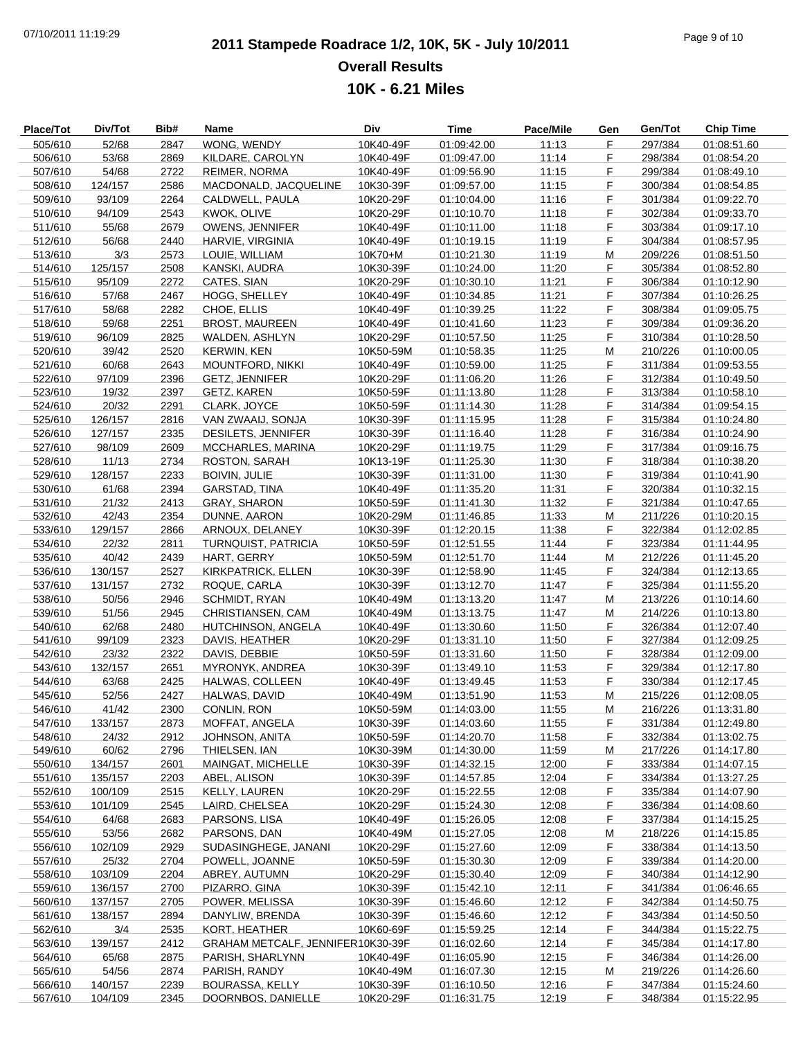# **2011 Stampede Roadrace 1/2, 10K, 5K - July 10/2011** 07/10/2011 11:19:29 Page 9 of 10 **Overall Results 10K - 6.21 Miles**

| <b>Place/Tot</b>   | Div/Tot          | Bib#         | Name                                   | Div                    | Time                       | Pace/Mile      | Gen     | Gen/Tot            | <b>Chip Time</b>           |
|--------------------|------------------|--------------|----------------------------------------|------------------------|----------------------------|----------------|---------|--------------------|----------------------------|
| 505/610            | 52/68            | 2847         | WONG, WENDY                            | 10K40-49F              | 01:09:42.00                | 11:13          | F.      | 297/384            | 01:08:51.60                |
| 506/610            | 53/68            | 2869         | KILDARE, CAROLYN                       | 10K40-49F              | 01:09:47.00                | 11:14          | F       | 298/384            | 01:08:54.20                |
| 507/610            | 54/68            | 2722         | <b>REIMER, NORMA</b>                   | 10K40-49F              | 01:09:56.90                | 11:15          | F       | 299/384            | 01:08:49.10                |
| 508/610            | 124/157          | 2586         | MACDONALD, JACQUELINE                  | 10K30-39F              | 01:09:57.00                | 11:15          | F       | 300/384            | 01:08:54.85                |
| 509/610            | 93/109           | 2264         | CALDWELL, PAULA                        | 10K20-29F              | 01:10:04.00                | 11:16          | F.      | 301/384            | 01:09:22.70                |
| 510/610            | 94/109           | 2543         | KWOK, OLIVE                            | 10K20-29F              | 01:10:10.70                | 11:18          | F       | 302/384            | 01:09:33.70                |
| 511/610            | 55/68            | 2679         | <b>OWENS, JENNIFER</b>                 | 10K40-49F              | 01:10:11.00                | 11:18          | F.      | 303/384            | 01:09:17.10                |
| 512/610            | 56/68            | 2440         | HARVIE, VIRGINIA                       | 10K40-49F              | 01:10:19.15                | 11:19          | F       | 304/384            | 01:08:57.95                |
| 513/610            | 3/3              | 2573         | LOUIE, WILLIAM                         | 10K70+M                | 01:10:21.30                | 11:19          | M       | 209/226            | 01:08:51.50                |
| 514/610            | 125/157          | 2508         | KANSKI, AUDRA                          | 10K30-39F              | 01:10:24.00                | 11:20          | F       | 305/384            | 01:08:52.80                |
| 515/610            | 95/109           | 2272         | CATES, SIAN                            | 10K20-29F              | 01:10:30.10                | 11:21          | F.      | 306/384            | 01:10:12.90                |
| 516/610            | 57/68            | 2467         | HOGG, SHELLEY                          | 10K40-49F              | 01:10:34.85                | 11:21          | F       | 307/384            | 01:10:26.25                |
| 517/610            | 58/68            | 2282         | CHOE, ELLIS                            | 10K40-49F              | 01:10:39.25                | 11:22          | F.      | 308/384            | 01:09:05.75                |
| 518/610            | 59/68            | 2251         | <b>BROST, MAUREEN</b>                  | 10K40-49F              | 01:10:41.60                | 11:23          | F       | 309/384            | 01:09:36.20                |
| 519/610            | 96/109           | 2825         | WALDEN, ASHLYN                         | 10K20-29F              | 01:10:57.50                | 11:25          | F.      | 310/384            | 01:10:28.50                |
| 520/610            | 39/42            | 2520         | <b>KERWIN, KEN</b>                     | 10K50-59M              | 01:10:58.35                | 11:25          | M       | 210/226            | 01:10:00.05                |
| 521/610            | 60/68            | 2643         | <b>MOUNTFORD, NIKKI</b>                | 10K40-49F              | 01:10:59.00                | 11:25          | F.      | 311/384            | 01:09:53.55                |
| 522/610            | 97/109           | 2396         | <b>GETZ, JENNIFER</b>                  | 10K20-29F              | 01:11:06.20                | 11:26          | F       | 312/384            | 01:10:49.50                |
| 523/610            | 19/32            | 2397         | GETZ, KAREN                            | 10K50-59F              | 01:11:13.80                | 11:28          | F.      | 313/384            | 01:10:58.10                |
| 524/610            | 20/32            | 2291         | CLARK, JOYCE                           | 10K50-59F              | 01:11:14.30                | 11:28          | F.      | 314/384            | 01:09:54.15                |
| 525/610            | 126/157          | 2816         | VAN ZWAAIJ, SONJA                      | 10K30-39F              | 01:11:15.95                | 11:28          | F.      | 315/384            | 01:10:24.80                |
| 526/610            | 127/157          | 2335         | DESILETS, JENNIFER                     | 10K30-39F              | 01:11:16.40                | 11:28          | F       | 316/384            | 01:10:24.90                |
| 527/610            | 98/109           | 2609         | MCCHARLES, MARINA                      | 10K20-29F              | 01:11:19.75                | 11:29          | F.      | 317/384            | 01:09:16.75                |
| 528/610            | 11/13            | 2734         | ROSTON, SARAH                          | 10K13-19F              | 01:11:25.30                | 11:30          | F       | 318/384            | 01:10:38.20                |
| 529/610            | 128/157          | 2233         | <b>BOIVIN, JULIE</b>                   | 10K30-39F              | 01:11:31.00                | 11:30          | F       | 319/384            | 01:10:41.90                |
| 530/610            | 61/68            | 2394         | GARSTAD, TINA                          | 10K40-49F              | 01:11:35.20                | 11:31          | F       | 320/384            | 01:10:32.15                |
| 531/610            | 21/32            | 2413         | <b>GRAY, SHARON</b>                    | 10K50-59F              | 01:11:41.30                | 11:32          | F.      | 321/384            | 01:10:47.65                |
| 532/610            | 42/43            | 2354         | DUNNE, AARON                           | 10K20-29M              | 01:11:46.85                | 11:33          | M       | 211/226            | 01:10:20.15                |
| 533/610            | 129/157          | 2866         | ARNOUX, DELANEY                        | 10K30-39F              | 01:12:20.15                | 11:38          | F.      | 322/384            | 01:12:02.85                |
| 534/610            | 22/32            | 2811         | <b>TURNQUIST, PATRICIA</b>             | 10K50-59F              | 01:12:51.55                | 11:44          | F       | 323/384            | 01:11:44.95                |
| 535/610            | 40/42            | 2439         | HART, GERRY                            | 10K50-59M              | 01:12:51.70                | 11:44          | M       | 212/226            | 01:11:45.20                |
| 536/610            | 130/157          | 2527         | KIRKPATRICK, ELLEN                     | 10K30-39F              | 01:12:58.90                | 11:45          | F       | 324/384            | 01:12:13.65                |
| 537/610            | 131/157          | 2732         | ROQUE, CARLA                           | 10K30-39F              | 01:13:12.70                | 11:47          | F.      | 325/384            | 01:11:55.20                |
| 538/610            | 50/56            | 2946         | SCHMIDT, RYAN                          | 10K40-49M              | 01:13:13.20                | 11:47          | M       | 213/226            | 01:10:14.60                |
| 539/610            | 51/56            | 2945         | CHRISTIANSEN, CAM                      | 10K40-49M              | 01:13:13.75                | 11:47          | M       | 214/226            | 01:10:13.80                |
| 540/610            | 62/68            | 2480         | HUTCHINSON, ANGELA                     | 10K40-49F              | 01:13:30.60                | 11:50          | F       | 326/384            | 01:12:07.40                |
| 541/610            | 99/109           | 2323         | DAVIS, HEATHER                         | 10K20-29F              | 01:13:31.10                | 11:50          | F       | 327/384            | 01:12:09.25                |
| 542/610            | 23/32            | 2322         | DAVIS, DEBBIE                          | 10K50-59F              | 01:13:31.60                | 11:50          | F       | 328/384            | 01:12:09.00                |
| 543/610            | 132/157          | 2651         | MYRONYK, ANDREA                        | 10K30-39F              | 01:13:49.10                | 11:53          | F.      | 329/384            | 01:12:17.80                |
| 544/610            | 63/68            | 2425         | HALWAS, COLLEEN                        | 10K40-49F              | 01:13:49.45                | 11:53          | F       | 330/384            | 01:12:17.45                |
| 545/610            | 52/56            | 2427         | HALWAS, DAVID                          | 10K40-49M              | 01:13:51.90                | 11:53          | M       | 215/226            | 01:12:08.05                |
| 546/610            | 41/42            | 2300         | CONLIN, RON                            | 10K50-59M              | 01:14:03.00                | 11:55          | M       | 216/226            | 01:13:31.80                |
| 547/610            | 133/157          | 2873         | MOFFAT, ANGELA                         | 10K30-39F              | 01:14:03.60                | 11:55          | F.      | 331/384            | 01:12:49.80                |
| 548/610            | 24/32            | 2912         | JOHNSON, ANITA                         | 10K50-59F              | 01:14:20.70                | 11:58          | F.      | 332/384            | 01:13:02.75                |
| 549/610            | 60/62            | 2796         | THIELSEN, IAN                          | 10K30-39M              | 01:14:30.00                | 11:59          | M       | 217/226            | 01:14:17.80                |
| 550/610            | 134/157          | 2601         | MAINGAT, MICHELLE                      | 10K30-39F              | 01:14:32.15                | 12:00          | F       | 333/384            | 01:14:07.15                |
| 551/610            | 135/157          | 2203         | ABEL, ALISON                           | 10K30-39F              | 01:14:57.85                | 12:04          | F.      | 334/384            | 01:13:27.25                |
| 552/610            | 100/109          | 2515         | KELLY, LAUREN                          | 10K20-29F              | 01:15:22.55                | 12:08          | F.      | 335/384            | 01:14:07.90                |
| 553/610            | 101/109          | 2545         | LAIRD, CHELSEA                         | 10K20-29F              | 01:15:24.30                | 12:08          | F.      | 336/384            | 01:14:08.60                |
| 554/610            | 64/68            | 2683         | PARSONS, LISA                          | 10K40-49F              | 01:15:26.05                | 12:08          | F.      | 337/384            | 01:14:15.25                |
| 555/610            | 53/56            | 2682         | PARSONS, DAN                           | 10K40-49M              | 01:15:27.05                | 12:08          | M       | 218/226            | 01:14:15.85                |
| 556/610            | 102/109          | 2929         | SUDASINGHEGE, JANANI<br>POWELL, JOANNE | 10K20-29F              | 01:15:27.60                | 12:09          | F.      | 338/384            | 01:14:13.50                |
| 557/610<br>558/610 | 25/32<br>103/109 | 2704<br>2204 | ABREY, AUTUMN                          | 10K50-59F<br>10K20-29F | 01:15:30.30<br>01:15:30.40 | 12:09<br>12:09 | F.<br>F | 339/384<br>340/384 | 01:14:20.00<br>01:14:12.90 |
|                    |                  |              |                                        |                        |                            |                |         |                    |                            |
| 559/610            | 136/157          | 2700         | PIZARRO, GINA                          | 10K30-39F              | 01:15:42.10                | 12:11          | F.      | 341/384            | 01:06:46.65                |
| 560/610            | 137/157          | 2705         | POWER, MELISSA<br>DANYLIW, BRENDA      | 10K30-39F              | 01:15:46.60                | 12:12          | F.      | 342/384            | 01:14:50.75                |
| 561/610<br>562/610 | 138/157<br>3/4   | 2894<br>2535 | KORT, HEATHER                          | 10K30-39F<br>10K60-69F | 01:15:46.60<br>01:15:59.25 | 12:12<br>12:14 | F.<br>F | 343/384<br>344/384 | 01:14:50.50<br>01:15:22.75 |
| 563/610            | 139/157          | 2412         | GRAHAM METCALF, JENNIFER10K30-39F      |                        | 01:16:02.60                | 12:14          | F.      | 345/384            |                            |
| 564/610            | 65/68            | 2875         |                                        | 10K40-49F              | 01:16:05.90                | 12:15          | F.      | 346/384            | 01:14:17.80<br>01:14:26.00 |
| 565/610            | 54/56            | 2874         | PARISH, SHARLYNN<br>PARISH, RANDY      | 10K40-49M              | 01:16:07.30                | 12:15          | M       | 219/226            | 01:14:26.60                |
| 566/610            | 140/157          | 2239         | <b>BOURASSA, KELLY</b>                 | 10K30-39F              | 01:16:10.50                | 12:16          | F.      | 347/384            | 01:15:24.60                |
| 567/610            | 104/109          | 2345         | DOORNBOS, DANIELLE                     | 10K20-29F              | 01:16:31.75                | 12:19          | F.      | 348/384            | 01:15:22.95                |
|                    |                  |              |                                        |                        |                            |                |         |                    |                            |